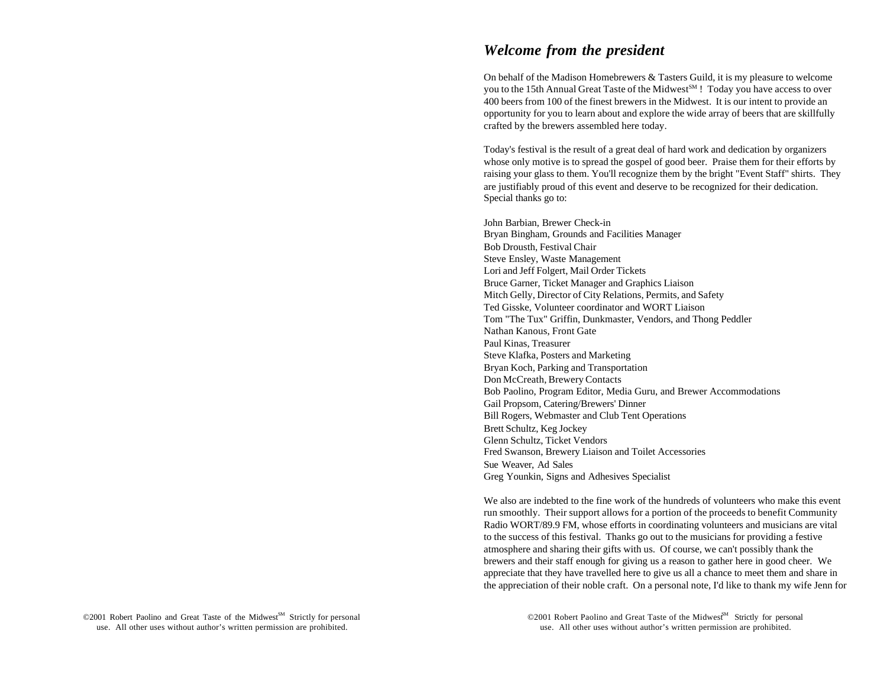# *Welcome from the president*

On behalf of the Madison Homebrewers & Tasters Guild, it is my pleasure to welcome you to the 15th Annual Great Taste of the Midwest<sup>SM</sup> ! Today you have access to over 400 beers from 100 of the finest brewers in the Midwest. It is our intent to provide an opportunity for you to learn about and explore the wide array of beers that are skillfully crafted by the brewers assembled here today.

Today's festival is the result of a great deal of hard work and dedication by organizers whose only motive is to spread the gospel of good beer. Praise them for their efforts by raising your glass to them. You'll recognize them by the bright "Event Staff" shirts. They are justifiably proud of this event and deserve to be recognized for their dedication. Special thanks go to:

John Barbian, Brewer Check-in Bryan Bingham, Grounds and Facilities Manager Bob Drousth, Festival Chair Steve Ensley, Waste Management Lori and Jeff Folgert, Mail Order Tickets Bruce Garner, Ticket Manager and Graphics Liaison Mitch Gelly, Director of City Relations, Permits, and Safety Ted Gisske, Volunteer coordinator and WORT Liaison Tom "The Tux" Griffin, Dunkmaster, Vendors, and Thong Peddler Nathan Kanous, Front Gate Paul Kinas, Treasurer Steve Klafka, Posters and Marketing Bryan Koch, Parking and Transportation Don McCreath, Brewery Contacts Bob Paolino, Program Editor, Media Guru, and Brewer Accommodations Gail Propsom, Catering/Brewers' Dinner Bill Rogers, Webmaster and Club Tent Operations Brett Schultz, Keg Jockey Glenn Schultz, Ticket Vendors Fred Swanson, Brewery Liaison and Toilet Accessories Sue Weaver, Ad Sales Greg Younkin, Signs and Adhesives Specialist

We also are indebted to the fine work of the hundreds of volunteers who make this event run smoothly. Their support allows for a portion of the proceeds to benefit Community Radio WORT/89.9 FM, whose efforts in coordinating volunteers and musicians are vital to the success of this festival. Thanks go out to the musicians for providing a festive atmosphere and sharing their gifts with us. Of course, we can't possibly thank the brewers and their staff enough for giving us a reason to gather here in good cheer. We appreciate that they have travelled here to give us all a chance to meet them and share in the appreciation of their noble craft. On a personal note, I'd like to thank my wife Jenn for

use. All other uses without author's written permission are prohibited. use. All other uses without author's written permission are prohibited. ©2001 Robert Paolino and Great Taste of the Midwest<sup>M</sup> Strictly for personal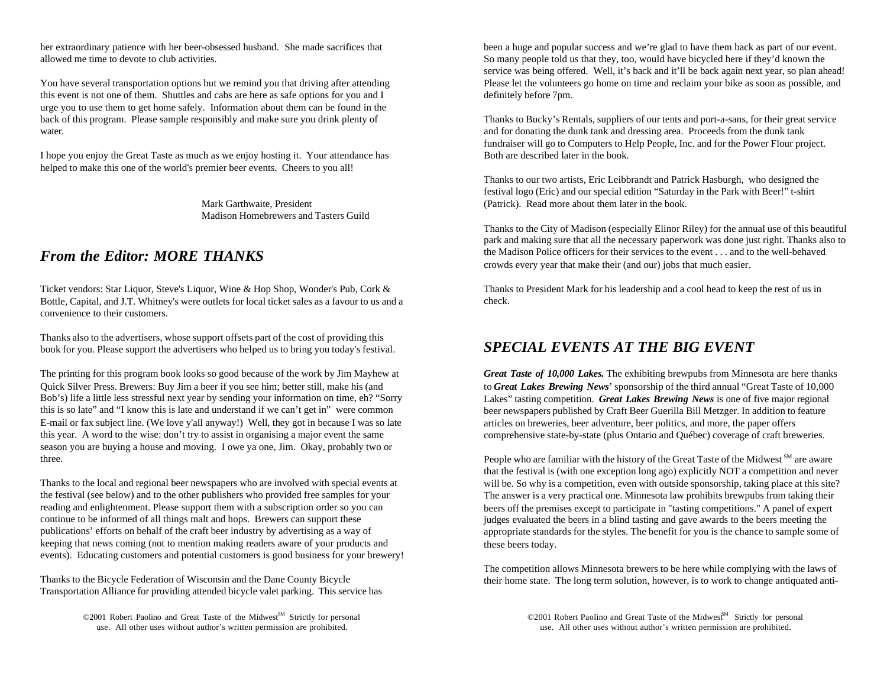allowed me time to devote to club activities. So many people told us that they, too, would have bicycled here if they'd known the

this event is not one of them. Shuttles and cabs are here as safe options for you and I definitely before 7pm. urge you to use them to get home safely. Information about them can be found in the back of this program. Please sample responsibly and make sure you drink plenty of Thanks to Bucky's Rentals, suppliers of our tents and port-a-sans, for their great service water. And for donating the dunk tank and dressing area. Proceeds from the dunk tank

I hope you enjoy the Great Taste as much as we enjoy hosting it. Your attendance has Both are described later in the book. helped to make this one of the world's premier beer events. Cheers to you all!

Madison Homebrewers and Tasters Guild

# *From the Editor: MORE THANKS*

Ticket vendors: Star Liquor, Steve's Liquor, Wine & Hop Shop, Wonder's Pub, Cork & Bottle, Capital, and J.T. Whitney's were outlets for local ticket sales as a favour to us and a convenience to their customers.

Thanks also to the advertisers, whose support offsets part of the cost of providing this book for you. Please support the advertisers who helped us to bring you today's festival.

Quick Silver Press. Brewers: Buy Jim a beer if you see him; better still, make his (and Bob's) life a little less stressful next year by sending your information on time, eh? "Sorry this is so late" and "I know this is late and understand if we can't get in" were common E-mail or fax subject line. (We love y'all anyway!) Well, they got in because I was so late this year. A word to the wise: don't try to assist in organising a major event the same season you are buying a house and moving. I owe ya one, Jim. Okay, probably two or three.

Thanks to the local and regional beer newspapers who are involved with special events at the festival (see below) and to the other publishers who provided free samples for your reading and enlightenment. Please support them with a subscription order so you can continue to be informed of all things malt and hops. Brewers can support these publications' efforts on behalf of the craft beer industry by advertising as a way of keeping that news coming (not to mention making readers aware of your products and events). Educating customers and potential customers is good business for your brewery!

Thanks to the Bicycle Federation of Wisconsin and the Dane County Bicycle Transportation Alliance for providing attended bicycle valet parking. This service has

©2001 Robert Paolino and Great Taste of the Midwest<sup>SM</sup> Strictly for personal

her extraordinary patience with her beer-obsessed husband. She made sacrifices that been a huge and popular success and we're glad to have them back as part of our event. You have several transportation options but we remind you that driving after attending Please let the volunteers go home on time and reclaim your bike as soon as possible, and service was being offered. Well, it's back and it'll be back again next year, so plan ahead!

fundraiser will go to Computers to Help People, Inc. and for the Power Flour project.

Mark Garthwaite. President (Patrick). Read more about them later in the book. Thanks to our two artists, Eric Leibbrandt and Patrick Hasburgh, who designed the festival logo (Eric) and our special edition "Saturday in the Park with Beer!" t-shirt

> Thanks to the City of Madison (especially Elinor Riley) for the annual use of this beautiful park and making sure that all the necessary paperwork was done just right. Thanks also to the Madison Police officers for their services to the event . . . and to the well-behaved crowds every year that make their (and our) jobs that much easier.

Thanks to President Mark for his leadership and a cool head to keep the rest of us in check.

# *SPECIAL EVENTS AT THE BIG EVENT*

The printing for this program book looks so good because of the work by Jim Mayhew at **Great Taste of 10,000 Lakes.** The exhibiting brewpubs from Minnesota are here thanks to *Great Lakes Brewing News*' sponsorship of the third annual "Great Taste of 10,000 Lakes" tasting competition. *Great Lakes Brewing News* is one of five major regional beer newspapers published by Craft Beer Guerilla Bill Metzger. In addition to feature articles on breweries, beer adventure, beer politics, and more, the paper offers comprehensive state-by-state (plus Ontario and Québec) coverage of craft breweries.

> People who are familiar with the history of the Great Taste of the Midwest  $\mathbb{S}^M$  are aware that the festival is (with one exception long ago) explicitly NOT a competition and never will be. So why is a competition, even with outside sponsorship, taking place at this site? The answer is a very practical one. Minnesota law prohibits brewpubs from taking their beers off the premises except to participate in "tasting competitions." A panel of expert judges evaluated the beers in a blind tasting and gave awards to the beers meeting the appropriate standards for the styles. The benefit for you is the chance to sample some of these beers today.

> The competition allows Minnesota brewers to be here while complying with the laws of their home state. The long term solution, however, is to work to change antiquated anti-

use. All other uses without author's written permission are prohibited. use. All other uses without author's written permission are prohibited. ©2001 Robert Paolino and Great Taste of the Midwest<sup>SM</sup> Strictly for personal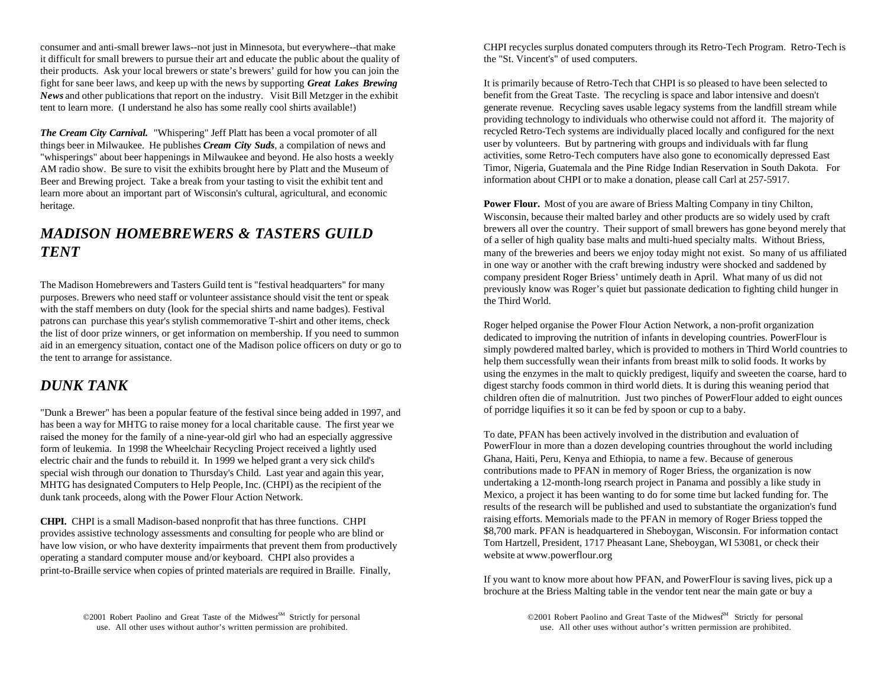it difficult for small brewers to pursue their art and educate the public about the quality of the "St. Vincent's" of used computers. their products. Ask your local brewers or state's brewers' guild for how you can join the fight for sane beer laws, and keep up with the news by supporting *Great Lakes Brewing News* and other publications that report on the industry. Visit Bill Metzger in the exhibit tent to learn more. (I understand he also has some really cool shirts available!)

*The Cream City Carnival.* "Whispering" Jeff Platt has been a vocal promoter of all things beer in Milwaukee. He publishes *Cream City Suds*, a compilation of news and "whisperings" about beer happenings in Milwaukee and beyond. He also hosts a weekly AM radio show. Be sure to visit the exhibits brought here by Platt and the Museum of Beer and Brewing project. Take a break from your tasting to visit the exhibit tent and learn more about an important part of Wisconsin's cultural, agricultural, and economic heritage.

# *MADISON HOMEBREWERS & TASTERS GUILD TENT*

The Madison Homebrewers and Tasters Guild tent is "festival headquarters" for many purposes. Brewers who need staff or volunteer assistance should visit the tent or speak with the staff members on duty (look for the special shirts and name badges). Festival patrons can purchase this year's stylish commemorative T-shirt and other items, check the list of door prize winners, or get information on membership. If you need to summon aid in an emergency situation, contact one of the Madison police officers on duty or go to the tent to arrange for assistance.

# *DUNK TANK*

"Dunk a Brewer" has been a popular feature of the festival since being added in 1997, and has been a way for MHTG to raise money for a local charitable cause. The first year we raised the money for the family of a nine-year-old girl who had an especially aggressive form of leukemia. In 1998 the Wheelchair Recycling Project received a lightly used electric chair and the funds to rebuild it. In 1999 we helped grant a very sick child's special wish through our donation to Thursday's Child. Last year and again this year, MHTG has designated Computers to Help People, Inc. (CHPI) as the recipient of the dunk tank proceeds, along with the Power Flour Action Network.

**CHPI.** CHPI is a small Madison-based nonprofit that has three functions. CHPI provides assistive technology assessments and consulting for people who are blind or have low vision, or who have dexterity impairments that prevent them from productively operating a standard computer mouse and/or keyboard. CHPI also provides a print-to-Braille service when copies of printed materials are required in Braille. Finally,

©2001 Robert Paolino and Great Taste of the Midwest<sup>SM</sup> Strictly for personal

consumer and anti-small brewer laws--not just in Minnesota, but everywhere--that make CHPI recycles surplus donated computers through its Retro-Tech Program. Retro-Tech is

It is primarily because of Retro-Tech that CHPI is so pleased to have been selected to benefit from the Great Taste. The recycling is space and labor intensive and doesn't generate revenue. Recycling saves usable legacy systems from the landfill stream while providing technology to individuals who otherwise could not afford it. The majority of recycled Retro-Tech systems are individually placed locally and configured for the next user by volunteers. But by partnering with groups and individuals with far flung activities, some Retro-Tech computers have also gone to economically depressed East Timor, Nigeria, Guatemala and the Pine Ridge Indian Reservation in South Dakota. For information about CHPI or to make a donation, please call Carl at 257-5917.

**Power Flour.** Most of you are aware of Briess Malting Company in tiny Chilton, Wisconsin, because their malted barley and other products are so widely used by craft brewers all over the country. Their support of small brewers has gone beyond merely that of a seller of high quality base malts and multi-hued specialty malts. Without Briess, many of the breweries and beers we enjoy today might not exist. So many of us affiliated in one way or another with the craft brewing industry were shocked and saddened by company president Roger Briess' untimely death in April. What many of us did not previously know was Roger's quiet but passionate dedication to fighting child hunger in the Third World.

Roger helped organise the Power Flour Action Network, a non-profit organization dedicated to improving the nutrition of infants in developing countries. PowerFlour is simply powdered malted barley, which is provided to mothers in Third World countries to help them successfully wean their infants from breast milk to solid foods. It works by using the enzymes in the malt to quickly predigest, liquify and sweeten the coarse, hard to digest starchy foods common in third world diets. It is during this weaning period that children often die of malnutrition. Just two pinches of PowerFlour added to eight ounces of porridge liquifies it so it can be fed by spoon or cup to a baby.

To date, PFAN has been actively involved in the distribution and evaluation of PowerFlour in more than a dozen developing countries throughout the world including Ghana, Haiti, Peru, Kenya and Ethiopia, to name a few. Because of generous contributions made to PFAN in memory of Roger Briess, the organization is now undertaking a 12-month-long rsearch project in Panama and possibly a like study in Mexico, a project it has been wanting to do for some time but lacked funding for. The results of the research will be published and used to substantiate the organization's fund raising efforts. Memorials made to the PFAN in memory of Roger Briess topped the \$8,700 mark. PFAN is headquartered in Sheboygan, Wisconsin. For information contact Tom Hartzell, President, 1717 Pheasant Lane, Sheboygan, WI 53081, or check their website at www.powerflour.org

If you want to know more about how PFAN, and PowerFlour is saving lives, pick up a brochure at the Briess Malting table in the vendor tent near the main gate or buy a

use. All other uses without author's written permission are prohibited. use. All other uses without author's written permission are prohibited.  $\odot$ 2001 Robert Paolino and Great Taste of the Midwest<sup>SM</sup> Strictly for personal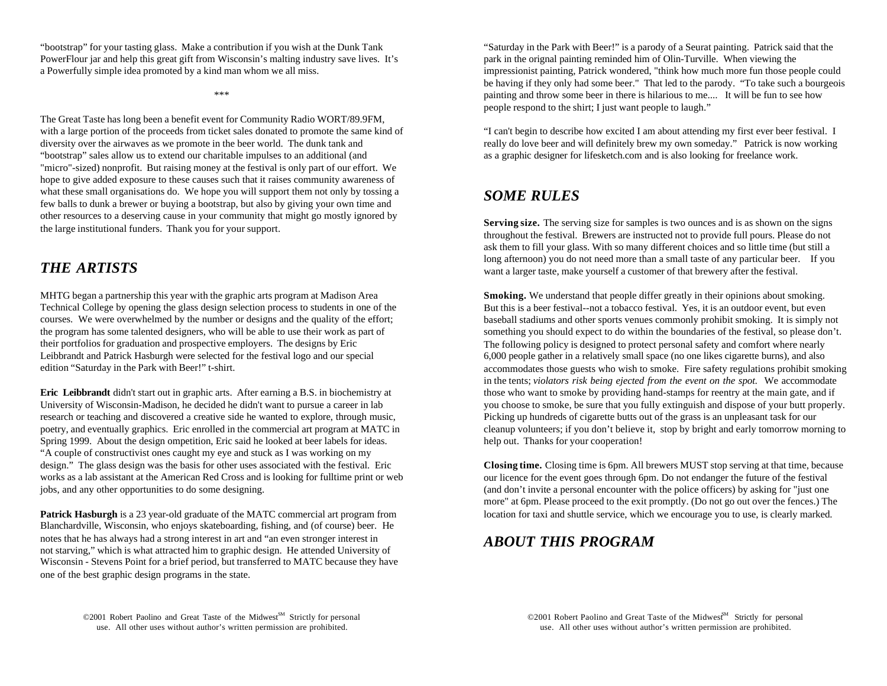PowerFlour jar and help this great gift from Wisconsin's malting industry save lives. It's park in the orignal painting reminded him of Olin-Turville. When viewing the a Powerfully simple idea promoted by a kind man whom we all miss. impressionist painting, Patrick wondered, "think how much more fun those people could

The Great Taste has long been a benefit event for Community Radio WORT/89.9FM, with a large portion of the proceeds from ticket sales donated to promote the same kind of "I can't begin to describe how excited I am about attending my first ever beer festival. I diversity over the airwaves as we promote in the beer world. The dunk tank and really do love beer and will definitely brew my own someday." Patrick is now working "bootstrap" sales allow us to extend our charitable impulses to an additional (and as a graphic designer for lifesketch.com and is also looking for freelance work. "micro"-sized) nonprofit. But raising money at the festival is only part of our effort. We hope to give added exposure to these causes such that it raises community awareness of what these small organisations do. We hope you will support them not only by tossing a few balls to dunk a brewer or buying a bootstrap, but also by giving your own time and other resources to a deserving cause in your community that might go mostly ignored by the large institutional funders. Thank you for your support.

# *THE ARTISTS*

MHTG began a partnership this year with the graphic arts program at Madison Area Technical College by opening the glass design selection process to students in one of the courses. We were overwhelmed by the number or designs and the quality of the effort; the program has some talented designers, who will be able to use their work as part of their portfolios for graduation and prospective employers. The designs by Eric Leibbrandt and Patrick Hasburgh were selected for the festival logo and our special edition "Saturday in the Park with Beer!" t-shirt.

**Eric Leibbrandt** didn't start out in graphic arts. After earning a B.S. in biochemistry at those who want to smoke by providing hand-stamps for reentry at the main gate, and if University of Wisconsin-Madison, he decided he didn't want to pursue a career in lab you choose to smoke, be sure that you fully extinguish and dispose of your butt properly. research or teaching and discovered a creative side he wanted to explore, through music, Picking up hundreds of cigarette butts out of the grass is an unpleasant task for our poetry, and eventually graphics. Eric enrolled in the commercial art program at MATC in cleanup volunteers; if you don't believe it, stop by bright and early tomorrow morning to Spring 1999. About the design ompetition, Eric said he looked at beer labels for ideas. help out. Thanks for your cooperation! "A couple of constructivist ones caught my eye and stuck as I was working on my design." The glass design was the basis for other uses associated with the festival. Eric works as a lab assistant at the American Red Cross and is looking for fulltime print or web jobs, and any other opportunities to do some designing.

**Patrick Hasburgh** is a 23 year-old graduate of the MATC commercial art program from location for taxi and shuttle service, which we encourage you to use, is clearly marked. Blanchardville, Wisconsin, who enjoys skateboarding, fishing, and (of course) beer. He notes that he has always had a strong interest in art and "an even stronger interest in not starving," which is what attracted him to graphic design. He attended University of Wisconsin - Stevens Point for a brief period, but transferred to MATC because they have one of the best graphic design programs in the state.

"bootstrap" for your tasting glass. Make a contribution if you wish at the Dunk Tank "Saturday in the Park with Beer!" is a parody of a Seurat painting. Patrick said that the \*\*\* **the set of the set of the set of the set of the set of the set of the set of the set of the set of the set of the set of the set of the set of the set of the set of the set of the set of the set of the set of the set** be having if they only had some beer." That led to the parody. "To take such a bourgeois people respond to the shirt; I just want people to laugh."

# *SOME RULES*

**Serving size.** The serving size for samples is two ounces and is as shown on the signs throughout the festival. Brewers are instructed not to provide full pours. Please do not ask them to fill your glass. With so many different choices and so little time (but still a long afternoon) you do not need more than a small taste of any particular beer. If you want a larger taste, make yourself a customer of that brewery after the festival.

**Smoking.** We understand that people differ greatly in their opinions about smoking. But this is a beer festival--not a tobacco festival. Yes, it is an outdoor event, but even baseball stadiums and other sports venues commonly prohibit smoking. It is simply not something you should expect to do within the boundaries of the festival, so please don't. The following policy is designed to protect personal safety and comfort where nearly 6,000 people gather in a relatively small space (no one likes cigarette burns), and also accommodates those guests who wish to smoke. Fire safety regulations prohibit smoking in the tents; *violators risk being ejected from the event on the spot.* We accommodate

**Closing time.** Closing time is 6pm. All brewers MUST stop serving at that time, because our licence for the event goes through 6pm. Do not endanger the future of the festival (and don't invite a personal encounter with the police officers) by asking for "just one more" at 6pm. Please proceed to the exit promptly. (Do not go out over the fences.) The

# *ABOUT THIS PROGRAM*

©2001 Robert Paolino and Great Taste of the Midwest<sup>SM</sup> Strictly for personal use. All other uses without author's written permission are prohibited. use. All other uses without author's written permission are prohibited.

©2001 Robert Paolino and Great Taste of the Midwest<sup>M</sup> Strictly for personal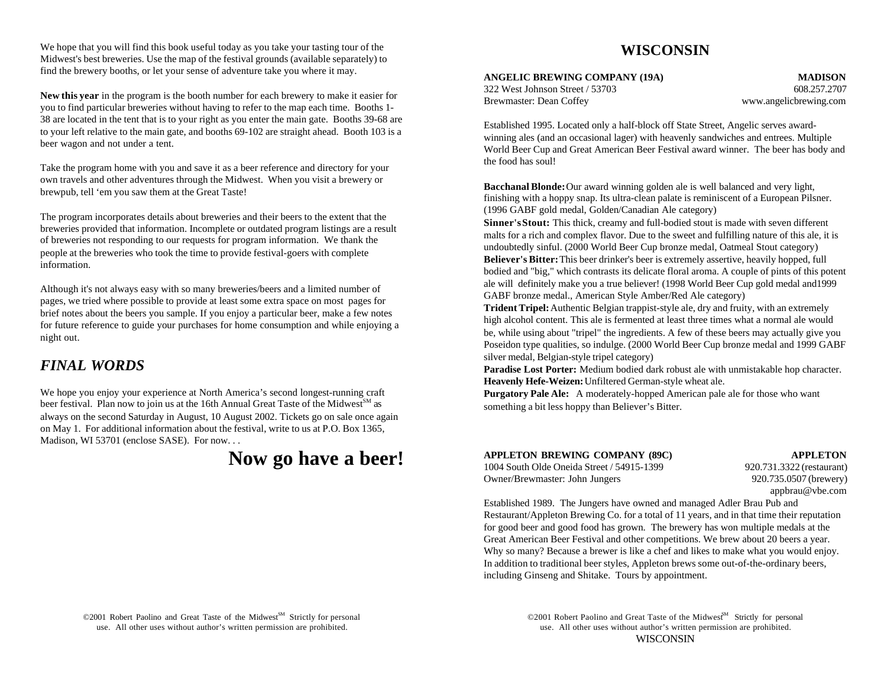We hope that you will find this book useful today as you take your tasting tour of the Midwest's best breweries. Use the map of the festival grounds (available separately) to find the brewery booths, or let your sense of adventure take you where it may.

**New this year** in the program is the booth number for each brewery to make it easier for you to find particular breweries without having to refer to the map each time. Booths 1- 38 are located in the tent that is to your right as you enter the main gate. Booths 39-68 are to your left relative to the main gate, and booths 69-102 are straight ahead. Booth 103 is a beer wagon and not under a tent.

Take the program home with you and save it as a beer reference and directory for your own travels and other adventures through the Midwest. When you visit a brewery or brewpub, tell 'em you saw them at the Great Taste!

The program incorporates details about breweries and their beers to the extent that the breweries provided that information. Incomplete or outdated program listings are a result of breweries not responding to our requests for program information. We thank the people at the breweries who took the time to provide festival-goers with complete information.

Although it's not always easy with so many breweries/beers and a limited number of pages, we tried where possible to provide at least some extra space on most pages for brief notes about the beers you sample. If you enjoy a particular beer, make a few notes for future reference to guide your purchases for home consumption and while enjoying a night out.

# *FINAL WORDS*

We hope you enjoy your experience at North America's second longest-running craft beer festival. Plan now to join us at the 16th Annual Great Taste of the Midwest<sup>SM</sup> as always on the second Saturday in August, 10 August 2002. Tickets go on sale once again on May 1. For additional information about the festival, write to us at P.O. Box 1365, Madison, WI 53701 (enclose SASE). For now. . .

# **Now go have a beer!**

# **WISCONSIN**

**ANGELIC BREWING COMPANY (19A) MADISON**

322 West Johnson Street / 53703 608.257.2707 Brewmaster: Dean Coffey www.angelicbrewing.com

Established 1995. Located only a half-block off State Street, Angelic serves awardwinning ales (and an occasional lager) with heavenly sandwiches and entrees. Multiple World Beer Cup and Great American Beer Festival award winner. The beer has body and the food has soul!

**Bacchanal Blonde:** Our award winning golden ale is well balanced and very light, finishing with a hoppy snap. Its ultra-clean palate is reminiscent of a European Pilsner. (1996 GABF gold medal, Golden/Canadian Ale category)

**Sinner's Stout:** This thick, creamy and full-bodied stout is made with seven different malts for a rich and complex flavor. Due to the sweet and fulfilling nature of this ale, it is undoubtedly sinful. (2000 World Beer Cup bronze medal, Oatmeal Stout category) **Believer's Bitter:** This beer drinker's beer is extremely assertive, heavily hopped, full bodied and "big," which contrasts its delicate floral aroma. A couple of pints of this potent ale will definitely make you a true believer! (1998 World Beer Cup gold medal and1999 GABF bronze medal., American Style Amber/Red Ale category)

**Trident Tripel:** Authentic Belgian trappist-style ale, dry and fruity, with an extremely high alcohol content. This ale is fermented at least three times what a normal ale would be, while using about "tripel" the ingredients. A few of these beers may actually give you Poseidon type qualities, so indulge. (2000 World Beer Cup bronze medal and 1999 GABF silver medal, Belgian-style tripel category)

**Paradise Lost Porter:** Medium bodied dark robust ale with unmistakable hop character. **Heavenly Hefe-Weizen:** Unfiltered German-style wheat ale.

**Purgatory Pale Ale:** A moderately-hopped American pale ale for those who want something a bit less hoppy than Believer's Bitter.

| APPLETON BREWING COMPANY (89C)             | <b>APPLETON</b>           |
|--------------------------------------------|---------------------------|
| 1004 South Olde Oneida Street / 54915-1399 | 920.731.3322 (restaurant) |
| Owner/Brewmaster: John Jungers             | 920.735.0507 (brewery)    |

**APPLETON BREWING COMPANY (89C) APPLETON** 731.3322 (restaurant) appbrau@vbe.com

Established 1989. The Jungers have owned and managed Adler Brau Pub and Restaurant/Appleton Brewing Co. for a total of 11 years, and in that time their reputation for good beer and good food has grown. The brewery has won multiple medals at the Great American Beer Festival and other competitions. We brew about 20 beers a year. Why so many? Because a brewer is like a chef and likes to make what you would enjoy. In addition to traditional beer styles, Appleton brews some out-of-the-ordinary beers, including Ginseng and Shitake. Tours by appointment.

©2001 Robert Paolino and Great Taste of the Midwest<sup>SM</sup> Strictly for personal

use. All other uses without author's written permission are prohibited. use. All other uses without author's written permission are prohibited. ©2001 Robert Paolino and Great Taste of the Midwest<sup>M</sup> Strictly for personal **WISCONSIN**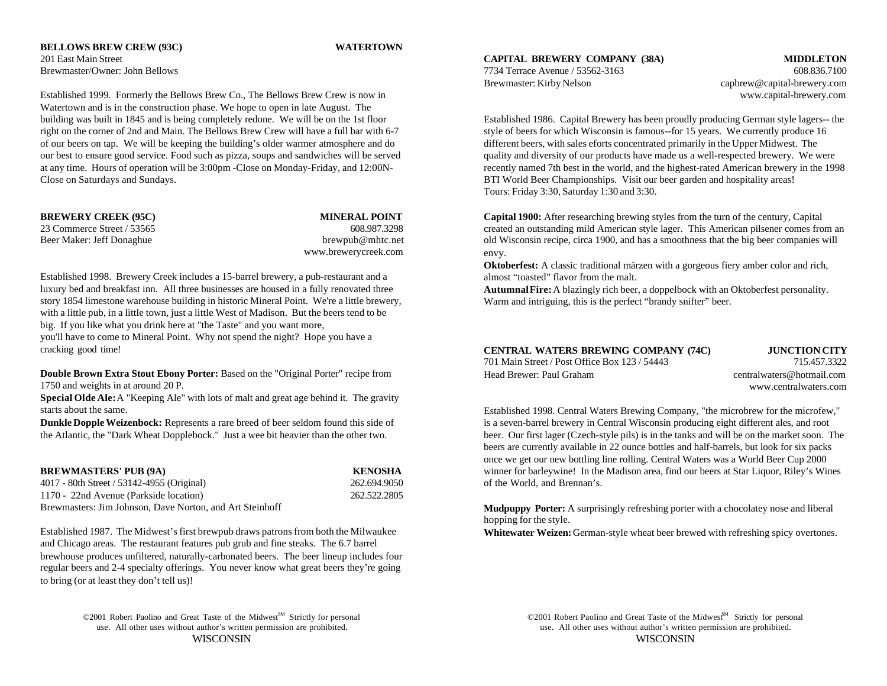**BELLOWS BREW CREW (93C) WATERTOWN** 201 East Main Street Brewmaster/Owner: John Bellows 608.836.7100

Established 1999. Formerly the Bellows Brew Co., The Bellows Brew Crew is now in www.capital-brewery.com Watertown and is in the construction phase. We hope to open in late August. The building was built in 1845 and is being completely redone. We will be on the 1st floor Established 1986. Capital Brewery has been proudly producing German style lagers-- the right on the corner of 2nd and Main. The Bellows Brew Crew will have a full bar with 6-7 style of beers for which Wisconsin is famous--for 15 years. We currently produce 16 of our beers on tap. We will be keeping the building's older warmer atmosphere and do different beers, with sales eforts concentrated primarily in the Upper Midwest. The our best to ensure good service. Food such as pizza, soups and sandwiches will be served quality and diversity of our products have made us a well-respected brewery. We were at any time. Hours of operation will be 3:00pm -Close on Monday-Friday, and 12:00N- recently named 7th best in the world, and the highest-rated American brewery in the 1998 Close on Saturdays and Sundays. BTI World Beer Championships. Visit our beer garden and hospitality areas!

| <b>BREWERY CREEK (95C)</b> | <b>MINERAL POINT</b> |
|----------------------------|----------------------|
| 23 Commerce Street / 53565 | 608.987.3298         |
| Beer Maker: Jeff Donaghue  | brewpub@mhtc.net     |
|                            | www.brewerycreek.com |

Established 1998. Brewery Creek includes a 15-barrel brewery, a pub-restaurant and a luxury bed and breakfast inn. All three businesses are housed in a fully renovated three story 1854 limestone warehouse building in historic Mineral Point. We're a little brewery, with a little pub, in a little town, just a little West of Madison. But the beers tend to be big. If you like what you drink here at "the Taste" and you want more,

you'll have to come to Mineral Point. Why not spend the night? Hope you have a cracking good time!

**Double Brown Extra Stout Ebony Porter:** Based on the "Original Porter" recipe from 1750 and weights in at around 20 P.

**Special Olde Ale:** A "Keeping Ale" with lots of malt and great age behind it. The gravity starts about the same.

| <b>BREWMASTERS' PUB (9A)</b>                             | <b>KENOSHA</b> |
|----------------------------------------------------------|----------------|
| 4017 - 80th Street / 53142-4955 (Original)               | 262.694.9050   |
| 1170 - 22nd Avenue (Parkside location)                   | 262.522.2805   |
| Brewmasters: Jim Johnson, Dave Norton, and Art Steinhoff |                |

Established 1987. The Midwest's first brewpub draws patrons from both the Milwaukee and Chicago areas. The restaurant features pub grub and fine steaks. The 6.7 barrel brewhouse produces unfiltered, naturally-carbonated beers. The beer lineup includes four regular beers and 2-4 specialty offerings. You never know what great beers they're going to bring (or at least they don't tell us)!

> ©2001 Robert Paolino and Great Taste of the Midwest<sup>SM</sup> Strictly for personal use. All other uses without author's written permission are prohibited. use. All other uses without author's written permission are prohibited.

**CAPITAL BREWERY COMPANY (38A) MIDDLETON**

Brewmaster: Kirby Nelson capbrew@capital-brewery.com

Tours: Friday 3:30, Saturday 1:30 and 3:30.

**BREW CAPITAL CAPITAL POINT CAPITAL POINT CAPITAL POINT CAPITAL POINT CAPITAL POINT CAPITAL POINT CAPITAL POINT CAPITAL POINT CAPITAL POINT CAPITAL POINT CAPITAL POINT CAPITAL POINT CAPITAL POINT CAPITAL POINT CAPITAL POIN** created an outstanding mild American style lager. This American pilsener comes from an old Wisconsin recipe, circa 1900, and has a smoothness that the big beer companies will envy.

> **Oktoberfest:** A classic traditional märzen with a gorgeous fiery amber color and rich, almost "toasted" flavor from the malt.

> **Autumnal Fire:** A blazingly rich beer, a doppelbock with an Oktoberfest personality. Warm and intriguing, this is the perfect "brandy snifter" beer.

| CENTRAL WATERS BREWING COMPANY (74C)          | JUN0                       |
|-----------------------------------------------|----------------------------|
| 701 Main Street / Post Office Box 123 / 54443 |                            |
| Head Brewer: Paul Graham                      | centralwaters <sup>(</sup> |

**CENTRAL WATERS BREWING COMPANY (74C) JUNCTION CITY** 715.457.3322 @hotmail.com www.centralwaters.com

**Dunkle Dopple Weizenbock:** Represents a rare breed of beer seldom found this side of is a seven-barrel brewery in Central Wisconsin producing eight different ales, and root the Atlantic, the "Dark Wheat Dopplebock." Just a wee bit heavier than the other two. beer. Our first lager (Czech-style pils) is in the tanks and will be on the market soon. The 50 of the World, and Brennan's. Established 1998. Central Waters Brewing Company, "the microbrew for the microfew," beers are currently available in 22 ounce bottles and half-barrels, but look for six packs once we get our new bottling line rolling. Central Waters was a World Beer Cup 2000 winner for barleywine! In the Madison area, find our beers at Star Liquor, Riley's Wines

> **Mudpuppy Porter:** A surprisingly refreshing porter with a chocolatey nose and liberal hopping for the style.

> **Whitewater Weizen:** German-style wheat beer brewed with refreshing spicy overtones.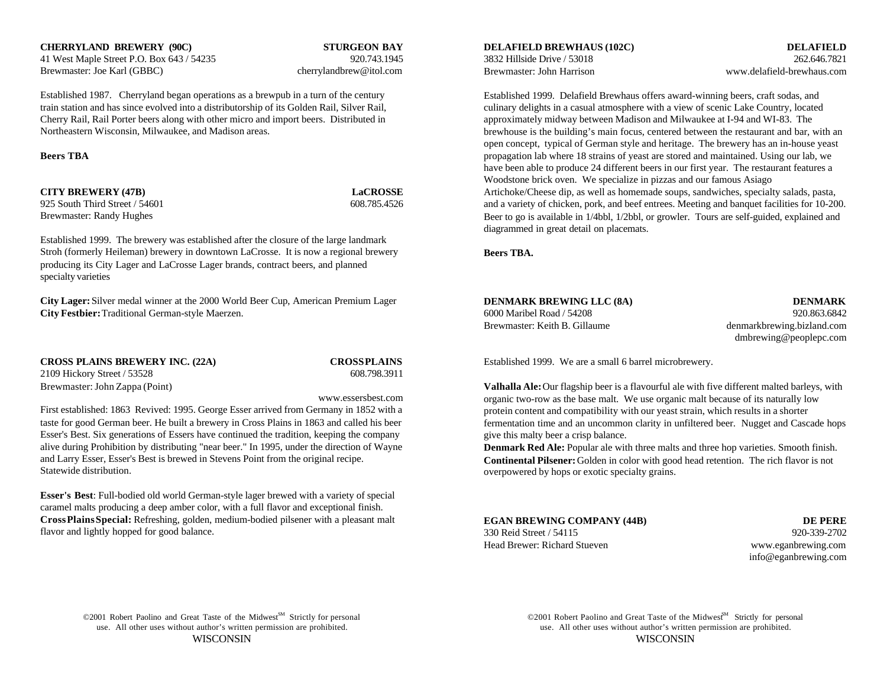**CHERRYLAND BREWERY (90C) STURGEON BAY DELAFIELD BREWHAUS (102C) DELAFIELD** 41 West Maple Street P.O. Box 643 / 54235 920.743.1945 Brewmaster: Joe Karl (GBBC) cherrylandbrew@itol.com

Established 1987. Cherryland began operations as a brewpub in a turn of the century train station and has since evolved into a distributorship of its Golden Rail, Silver Rail, Cherry Rail, Rail Porter beers along with other micro and import beers. Distributed in Northeastern Wisconsin, Milwaukee, and Madison areas.

925 South Third Street / 54601 608.785.4526 Brewmaster: Randy Hughes

Established 1999. The brewery was established after the closure of the large landmark Stroh (formerly Heileman) brewery in downtown LaCrosse. It is now a regional brewery producing its City Lager and LaCrosse Lager brands, contract beers, and planned specialty varieties

**City Lager:** Silver medal winner at the 2000 World Beer Cup, American Premium Lager **City Festbier: Traditional German-style Maerzen.** 

**CROSS PLAINS BREWERY INC. (22A) CROSS PLAINS** 2109 Hickory Street / 53528 608.798.3911 Brewmaster: John Zappa (Point)

www.essersbest.com

First established: 1863 Revived: 1995. George Esser arrived from Germany in 1852 with a taste for good German beer. He built a brewery in Cross Plains in 1863 and called his beer Esser's Best. Six generations of Essers have continued the tradition, keeping the company alive during Prohibition by distributing "near beer." In 1995, under the direction of Wayne and Larry Esser, Esser's Best is brewed in Stevens Point from the original recipe. Statewide distribution.

**Esser's Best**: Full-bodied old world German-style lager brewed with a variety of special caramel malts producing a deep amber color, with a full flavor and exceptional finish. **Cross Plains Special:** Refreshing, golden, medium-bodied pilsener with a pleasant malt flavor and lightly hopped for good balance.

3832 Hillside Drive / 53018 262.646.7821 Brewmaster: John Harrison www.delafield-brewhaus.com

**Beers TBA** propagation lab where 18 strains of yeast are stored and maintained. Using our lab, we **CITY BREWERY (47B) LaCROSSE LaCROSSE** Artichoke/Cheese dip, as well as homemade soups, sandwiches, specialty salads, pasta, Established 1999. Delafield Brewhaus offers award-winning beers, craft sodas, and culinary delights in a casual atmosphere with a view of scenic Lake Country, located approximately midway between Madison and Milwaukee at I-94 and WI-83. The brewhouse is the building's main focus, centered between the restaurant and bar, with an open concept, typical of German style and heritage. The brewery has an in-house yeast have been able to produce 24 different beers in our first year. The restaurant features a Woodstone brick oven. We specialize in pizzas and our famous Asiago and a variety of chicken, pork, and beef entrees. Meeting and banquet facilities for 10-200. Beer to go is available in 1/4bbl, 1/2bbl, or growler. Tours are self-guided, explained and diagrammed in great detail on placemats.

**Beers TBA.**

| DENMARK BREWING LLC (8A)      | <b>DENMARK</b>             |
|-------------------------------|----------------------------|
| 6000 Maribel Road / 54208     | 920.863.6842               |
| Brewmaster: Keith B. Gillaume | denmarkbrewing.bizland.com |

dmbrewing@peoplepc.com

Established 1999. We are a small 6 barrel microbrewery.

**Valhalla Ale:** Our flagship beer is a flavourful ale with five different malted barleys, with organic two-row as the base malt. We use organic malt because of its naturally low protein content and compatibility with our yeast strain, which results in a shorter fermentation time and an uncommon clarity in unfiltered beer. Nugget and Cascade hops give this malty beer a crisp balance.

**Denmark Red Ale:** Popular ale with three malts and three hop varieties. Smooth finish. **Continental Pilsener:** Golden in color with good head retention. The rich flavor is not overpowered by hops or exotic specialty grains.

**EGAN BREWING COMPANY (44B) DE PERE** 330 Reid Street / 54115 920-339-2702

Head Brewer: Richard Stueven www.eganbrewing.com

info@eganbrewing.com

©2001 Robert Paolino and Great Taste of the Midwest<sup>SM</sup> Strictly for personal use. All other uses without author's written permission are prohibited. use. All other uses without author's written permission are prohibited.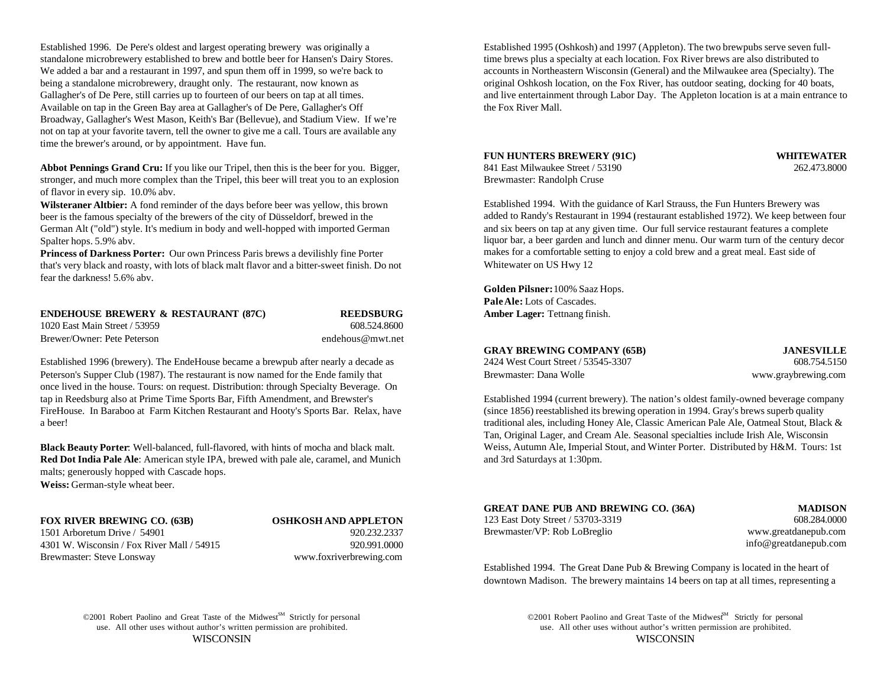Established 1996. De Pere's oldest and largest operating brewery was originally a Established 1995 (Oshkosh) and 1997 (Appleton). The two brewpubs serve seven fullstandalone microbrewery established to brew and bottle beer for Hansen's Dairy Stores. The brews plus a specialty at each location. Fox River brews are also distributed to We added a bar and a restaurant in 1997, and spun them off in 1999, so we're back to accounts in Northeastern Wisconsin (General) and the Milwaukee area (Specialty). The being a standalone microbrewery, draught only. The restaurant, now known as original Oshkosh location, on the Fox River, has outdoor seating, docking for 40 boats, Available on tap in the Green Bay area at Gallagher's of De Pere, Gallagher's Off the Fox River Mall. Broadway, Gallagher's West Mason, Keith's Bar (Bellevue), and Stadium View. If we're not on tap at your favorite tavern, tell the owner to give me a call. Tours are available any time the brewer's around, or by appointment. Have fun.

**Abbot Pennings Grand Cru:** If you like our Tripel, then this is the beer for you. Bigger, stronger, and much more complex than the Tripel, this beer will treat you to an explosion of flavor in every sip. 10.0% abv.

**Wilsteraner Altbier:** A fond reminder of the days before beer was yellow, this brown beer is the famous specialty of the brewers of the city of Düsseldorf, brewed in the German Alt ("old") style. It's medium in body and well-hopped with imported German Spalter hops. 5.9% abv.

**Princess of Darkness Porter:** Our own Princess Paris brews a devilishly fine Porter that's very black and roasty, with lots of black malt flavor and a bitter-sweet finish. Do not fear the darkness! 5.6% abv.

| <b>ENDEHOUSE BREWERY &amp; RESTAURANT (87C)</b> | <b>REEDSBURG</b> |
|-------------------------------------------------|------------------|
| 1020 East Main Street / 53959                   | 608.524.8600     |
| Brewer/Owner: Pete Peterson                     | endehous@mwt.net |

Established 1996 (brewery). The EndeHouse became a brewpub after nearly a decade as  $24$ Peterson's Supper Club (1987). The restaurant is now named for the Ende family that Brewmaster: Brewmaster: Dana Wolf was the Brewmaster: Dana Wolf was the Ende family that once lived in the house. Tours: on request. Distribution: through Specialty Beverage. On tap in Reedsburg also at Prime Time Sports Bar, Fifth Amendment, and Brewster's Established 1994 (current brewery). The nation's oldest family-owned beverage company FireHouse. In Baraboo at Farm Kitchen Restaurant and Hooty's Sports Bar. Relax, have (since 1856) reestablished its brewing operation in 1994. Gray's brews superb quality a beer! traditional ales, including Honey Ale, Classic American Pale Ale, Oatmeal Stout, Black &

**Black Beauty Porter**: Well-balanced, full-flavored, with hints of mocha and black malt. **Red Dot India Pale Ale**: American style IPA, brewed with pale ale, caramel, and Munich malts; generously hopped with Cascade hops. **Weiss:** German-style wheat beer.

### **FOX RIVER BREWING CO. (63B) OSHKOSH AND APPLETON**

1501 Arboretum Drive / 54901 920.232.2337 4301 W. Wisconsin / Fox River Mall / 54915 920.991.0000 Brewmaster: Steve Lonsway www.foxriverbrewing.com

Gallagher's of De Pere, still carries up to fourteen of our beers on tap at all times. and live entertainment through Labor Day. The Appleton location is at a main entrance to

# **FUN HUNTERS BREWERY (91C) WHITEWATER**

841 East Milwaukee Street / 53190 262.473.8000 Brewmaster: Randolph Cruse

Established 1994. With the guidance of Karl Strauss, the Fun Hunters Brewery was added to Randy's Restaurant in 1994 (restaurant established 1972). We keep between four and six beers on tap at any given time. Our full service restaurant features a complete liquor bar, a beer garden and lunch and dinner menu. Our warm turn of the century decor makes for a comfortable setting to enjoy a cold brew and a great meal. East side of Whitewater on US Hwy 12

**Golden Pilsner:** 100% Saaz Hops. **Pale Ale:** Lots of Cascades. **Amber Lager:** Tettnang finish.

| <b>GRAY BREWING COMPANY (65B)</b>   | <b>JANESVILLE</b>   |
|-------------------------------------|---------------------|
| 2424 West Court Street / 53545-3307 | 608.754.5150        |
| Brewmaster: Dana Wolle              | www.graybrewing.com |

Tan, Original Lager, and Cream Ale. Seasonal specialties include Irish Ale, Wisconsin Weiss, Autumn Ale, Imperial Stout, and Winter Porter. Distributed by H&M. Tours: 1st and 3rd Saturdays at 1:30pm.

### **GREAT DANE PUB AND BREWING CO. (36A) MADISON**

123 East Doty Street / 53703-3319 608.284.0000 Brewmaster/VP: Rob LoBreglio www.greatdanepub.com

info@greatdanepub.com

Established 1994. The Great Dane Pub & Brewing Company is located in the heart of downtown Madison. The brewery maintains 14 beers on tap at all times, representing a

©2001 Robert Paolino and Great Taste of the Midwest<sup>SM</sup> Strictly for personal use. All other uses without author's written permission are prohibited. use. All other uses without author's written permission are prohibited.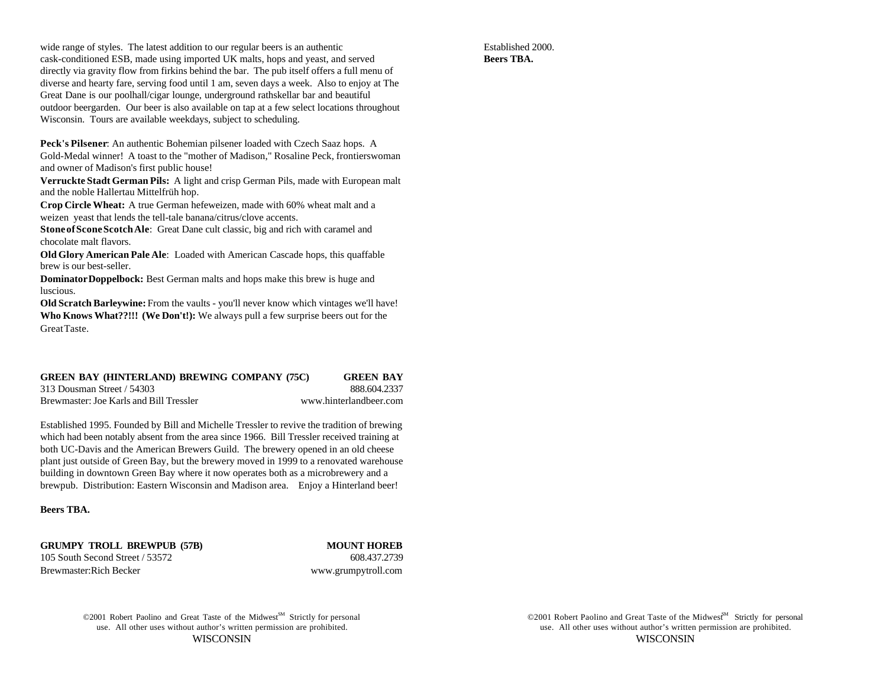wide range of styles. The latest addition to our regular beers is an authentic Established 2000. cask-conditioned ESB, made using imported UK malts, hops and yeast, and served directly via gravity flow from firkins behind the bar. The pub itself offers a full menu of diverse and hearty fare, serving food until 1 am, seven days a week. Also to enjoy at The Great Dane is our poolhall/cigar lounge, underground rathskellar bar and beautiful outdoor beergarden. Our beer is also available on tap at a few select locations throughout Wisconsin. Tours are available weekdays, subject to scheduling.

**Peck's Pilsener**: An authentic Bohemian pilsener loaded with Czech Saaz hops. A Gold-Medal winner! A toast to the "mother of Madison," Rosaline Peck, frontierswoman and owner of Madison's first public house!

**Verruckte Stadt German Pils:** A light and crisp German Pils, made with European malt and the noble Hallertau Mittelfrüh hop.

**Crop Circle Wheat:** A true German hefeweizen, made with 60% wheat malt and a weizen yeast that lends the tell-tale banana/citrus/clove accents.

**Stone of Scone Scotch Ale**: Great Dane cult classic, big and rich with caramel and chocolate malt flavors.

**Old Glory American Pale Ale**: Loaded with American Cascade hops, this quaffable brew is our best-seller.

**Dominator Doppelbock:** Best German malts and hops make this brew is huge and luscious.

**Old Scratch Barleywine:** From the vaults - you'll never know which vintages we'll have! **Who Knows What??!!! (We Don't!):** We always pull a few surprise beers out for the Great Taste.

### **GREEN BAY (HINTERLAND) BREWING COMPANY (75C) GREEN BAY**

313 Dousman Street / 54303 888.604.2337 Brewmaster: Joe Karls and Bill Tressler www.hinterlandbeer.com

Established 1995. Founded by Bill and Michelle Tressler to revive the tradition of brewing which had been notably absent from the area since 1966. Bill Tressler received training at both UC-Davis and the American Brewers Guild. The brewery opened in an old cheese plant just outside of Green Bay, but the brewery moved in 1999 to a renovated warehouse building in downtown Green Bay where it now operates both as a microbrewery and a brewpub. Distribution: Eastern Wisconsin and Madison area. Enjoy a Hinterland beer!

**Beers TBA.**

**GRUMPY TROLL BREWPUB (57B) MOUNT HOREB** 105 South Second Street / 53572 608.437.2739 Brewmaster:Rich Becker www.grumpytroll.com

©2001 Robert Paolino and Great Taste of the Midwest<sup>SM</sup> Strictly for personal

use. All other uses without author's written permission are prohibited. use. All other uses without author's written permission are prohibited. WISCONSIN WISCONSIN ©2001 Robert Paolino and Great Taste of the Midwes<sup>M</sup> Strictly for personal

**Beers TBA.**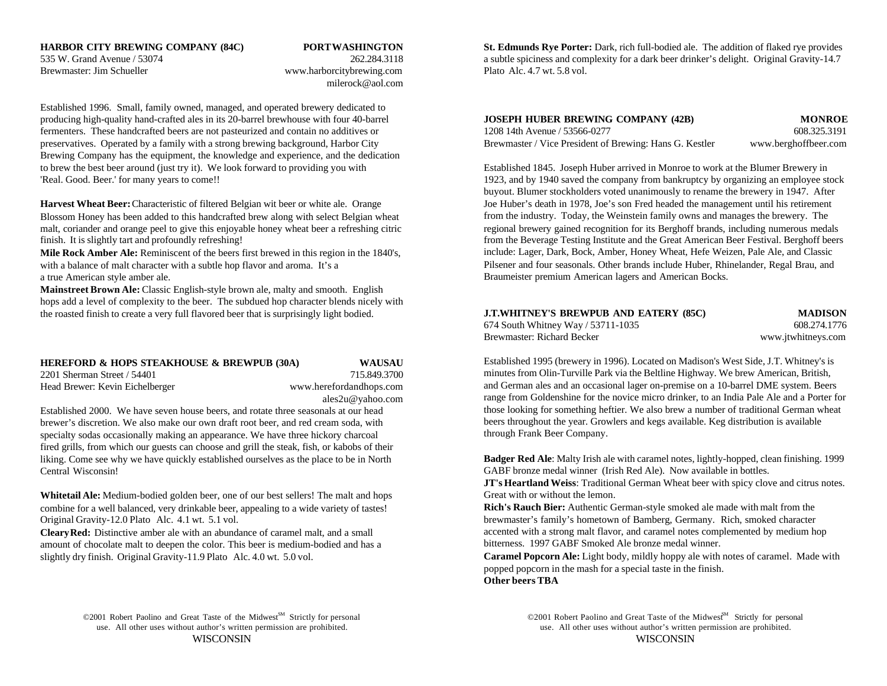# Brewmaster: Jim Schueller www.harborcitybrewing.com Plato Alc. 4.7 wt. 5.8 vol.

milerock@aol.com

Established 1996. Small, family owned, managed, and operated brewery dedicated to producing high-quality hand-crafted ales in its 20-barrel brewhouse with four 40-barrel fermenters. These handcrafted beers are not pasteurized and contain no additives or preservatives. Operated by a family with a strong brewing background, Harbor City Brewing Company has the equipment, the knowledge and experience, and the dedication to brew the best beer around (just try it). We look forward to providing you with Established 1845. Joseph Huber arrived in Monroe to work at the Blumer Brewery in 'Real. Good. Beer.' for many years to come!! 1923, and by 1940 saved the company from bankruptcy by organizing an employee stock

**Harvest Wheat Beer:** Characteristic of filtered Belgian wit beer or white ale. Orange Blossom Honey has been added to this handcrafted brew along with select Belgian wheat malt, coriander and orange peel to give this enjoyable honey wheat beer a refreshing citric finish. It is slightly tart and profoundly refreshing!

**Mile Rock Amber Ale:** Reminiscent of the beers first brewed in this region in the 1840's, with a balance of malt character with a subtle hop flavor and aroma. It's a a true American style amber ale.

**Mainstreet Brown Ale:** Classic English-style brown ale, malty and smooth. English hops add a level of complexity to the beer. The subdued hop character blends nicely with the roasted finish to create a very full flavored beer that is surprisingly light bodied.

## **HEREFORD & HOPS STEAKHOUSE & BREWPUB (30A) WAUSAU**

2201 Sherman Street / 54401 715.849.3700 Head Brewer: Kevin Eichelberger www.herefordandhops.com

ales2u@yahoo.com

Established 2000. We have seven house beers, and rotate three seasonals at our head brewer's discretion. We also make our own draft root beer, and red cream soda, with specialty sodas occasionally making an appearance. We have three hickory charcoal fired grills, from which our guests can choose and grill the steak, fish, or kabobs of their liking. Come see why we have quickly established ourselves as the place to be in North Central Wisconsin!

**Whitetail Ale:** Medium-bodied golden beer, one of our best sellers! The malt and hops combine for a well balanced, very drinkable beer, appealing to a wide variety of tastes! Original Gravity-12.0 Plato Alc. 4.1 wt. 5.1 vol.

**Cleary Red:** Distinctive amber ale with an abundance of caramel malt, and a small amount of chocolate malt to deepen the color. This beer is medium-bodied and has a slightly dry finish. Original Gravity-11.9 Plato Alc. 4.0 wt. 5.0 vol.

**HARBOR CITY BREWING COMPANY (84C) PORT WASHINGTON St. Edmunds Rye Porter:** Dark, rich full-bodied ale. The addition of flaked rye provides 535 W. Grand Avenue / 53074 262.284.3118 262.284.3118 262.284.3118 a subtle spiciness and complexity for a dark beer drinker's delight. Original Gravity-14.7

| JOSEPH HUBER BREWING COMPANY (42B)                      | <b>MONROE</b>        |
|---------------------------------------------------------|----------------------|
| 1208 14th Avenue / 53566-0277                           | 608.325.3191         |
| Brewmaster / Vice President of Brewing: Hans G. Kestler | www.berghoffbeer.com |

buyout. Blumer stockholders voted unanimously to rename the brewery in 1947. After Joe Huber's death in 1978, Joe's son Fred headed the management until his retirement from the industry. Today, the Weinstein family owns and manages the brewery. The regional brewery gained recognition for its Berghoff brands, including numerous medals from the Beverage Testing Institute and the Great American Beer Festival. Berghoff beers include: Lager, Dark, Bock, Amber, Honey Wheat, Hefe Weizen, Pale Ale, and Classic Pilsener and four seasonals. Other brands include Huber, Rhinelander, Regal Brau, and Braumeister premium American lagers and American Bocks.

| J.T.WHITNEY'S BREWPUB AND EATERY (85C). | <b>MADISON</b>     |
|-----------------------------------------|--------------------|
| 674 South Whitney Way / 53711-1035      | 608.274.1776       |
| Brewmaster: Richard Becker              | www.jtwhitneys.com |

Established 1995 (brewery in 1996). Located on Madison's West Side, J.T. Whitney's is minutes from Olin-Turville Park via the Beltline Highway. We brew American, British, and German ales and an occasional lager on-premise on a 10-barrel DME system. Beers range from Goldenshine for the novice micro drinker, to an India Pale Ale and a Porter for those looking for something heftier. We also brew a number of traditional German wheat beers throughout the year. Growlers and kegs available. Keg distribution is available through Frank Beer Company.

**Badger Red Ale**: Malty Irish ale with caramel notes, lightly-hopped, clean finishing. 1999 GABF bronze medal winner (Irish Red Ale). Now available in bottles.

**JT's Heartland Weiss**: Traditional German Wheat beer with spicy clove and citrus notes. Great with or without the lemon.

**Rich's Rauch Bier:** Authentic German-style smoked ale made with malt from the brewmaster's family's hometown of Bamberg, Germany. Rich, smoked character accented with a strong malt flavor, and caramel notes complemented by medium hop bitterness. 1997 GABF Smoked Ale bronze medal winner.

**Caramel Popcorn Ale:** Light body, mildly hoppy ale with notes of caramel. Made with popped popcorn in the mash for a special taste in the finish. **Other beers TBA**

©2001 Robert Paolino and Great Taste of the Midwest<sup>SM</sup> Strictly for personal

use. All other uses without author's written permission are prohibited. use. All other uses without author's written permission are prohibited. WISCONSIN WISCONSIN ©2001 Robert Paolino and Great Taste of the Midwest<sup>M</sup> Strictly for personal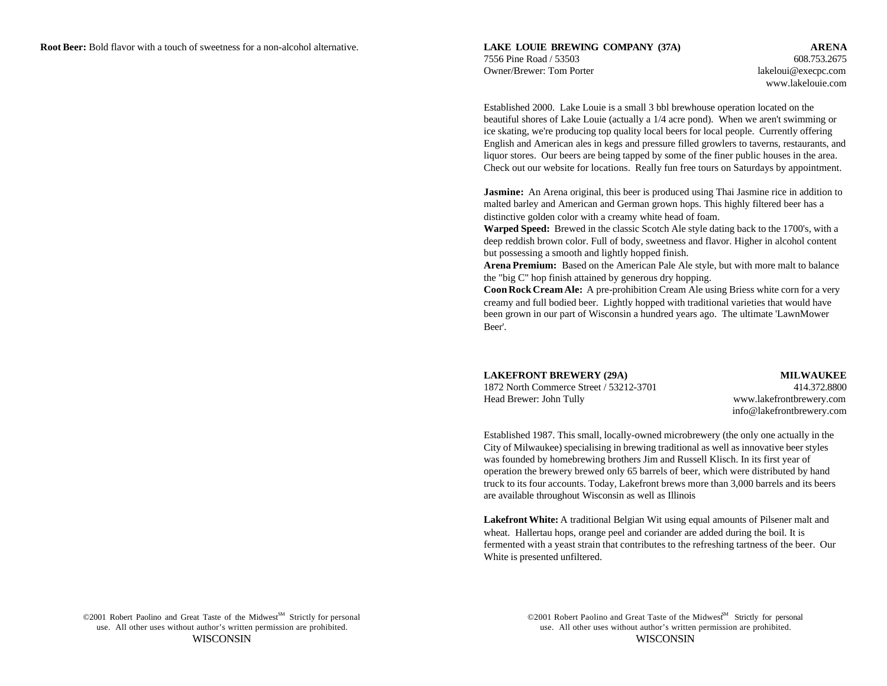www.lakelouie.com

Established 2000. Lake Louie is a small 3 bbl brewhouse operation located on the beautiful shores of Lake Louie (actually a 1/4 acre pond). When we aren't swimming or ice skating, we're producing top quality local beers for local people. Currently offering English and American ales in kegs and pressure filled growlers to taverns, restaurants, and liquor stores. Our beers are being tapped by some of the finer public houses in the area. Check out our website for locations. Really fun free tours on Saturdays by appointment.

**Jasmine:** An Arena original, this beer is produced using Thai Jasmine rice in addition to malted barley and American and German grown hops. This highly filtered beer has a distinctive golden color with a creamy white head of foam.

**Warped Speed:** Brewed in the classic Scotch Ale style dating back to the 1700's, with a deep reddish brown color. Full of body, sweetness and flavor. Higher in alcohol content but possessing a smooth and lightly hopped finish.

**Arena Premium:** Based on the American Pale Ale style, but with more malt to balance the "big C" hop finish attained by generous dry hopping.

**Coon Rock Cream Ale:** A pre-prohibition Cream Ale using Briess white corn for a very creamy and full bodied beer. Lightly hopped with traditional varieties that would have been grown in our part of Wisconsin a hundred years ago. The ultimate 'LawnMower Beer'.

# **LAKEFRONT BREWERY (29A) MILWAUKEE**

1872 North Commerce Street / 53212-3701 414.372.8800 Head Brewer: John Tully www.lakefrontbrewery.com

info@lakefrontbrewery.com

Established 1987. This small, locally-owned microbrewery (the only one actually in the City of Milwaukee) specialising in brewing traditional as well as innovative beer styles was founded by homebrewing brothers Jim and Russell Klisch. In its first year of operation the brewery brewed only 65 barrels of beer, which were distributed by hand truck to its four accounts. Today, Lakefront brews more than 3,000 barrels and its beers are available throughout Wisconsin as well as Illinois

**Lakefront White:** A traditional Belgian Wit using equal amounts of Pilsener malt and wheat. Hallertau hops, orange peel and coriander are added during the boil. It is fermented with a yeast strain that contributes to the refreshing tartness of the beer. Our White is presented unfiltered.

©2001 Robert Paolino and Great Taste of the Midwest<sup>SM</sup> Strictly for personal ©2001 Robert Paolino and Great Taste of the Midwest<sup>SM</sup> Strictly for personal use. All other uses without author's written permission are prohibited. use. All other uses without author's written permission are prohibited.

WISCONSIN WISCONSIN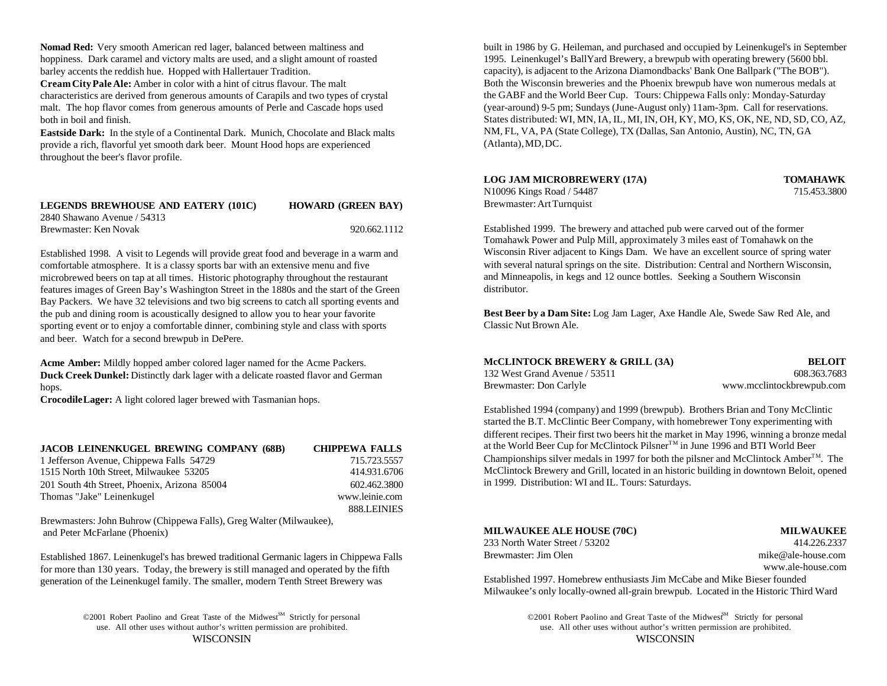**Nomad Red:** Very smooth American red lager, balanced between maltiness and hoppiness. Dark caramel and victory malts are used, and a slight amount of roasted barley accents the reddish hue. Hopped with Hallertauer Tradition.

**Cream City Pale Ale:** Amber in color with a hint of citrus flavour. The malt characteristics are derived from generous amounts of Carapils and two types of crystal malt. The hop flavor comes from generous amounts of Perle and Cascade hops used both in boil and finish.

**Eastside Dark:** In the style of a Continental Dark. Munich, Chocolate and Black malts provide a rich, flavorful yet smooth dark beer. Mount Hood hops are experienced throughout the beer's flavor profile.

| LEGENDS BREWHOUSE AND EATERY (101C) | <b>HOWARD (GREEN BAY)</b> |
|-------------------------------------|---------------------------|
| 2840 Shawano Avenue / 54313         |                           |
| Brewmaster: Ken Novak               | 920.662.1112              |

Established 1998. A visit to Legends will provide great food and beverage in a warm and comfortable atmosphere. It is a classy sports bar with an extensive menu and five microbrewed beers on tap at all times. Historic photography throughout the restaurant features images of Green Bay's Washington Street in the 1880s and the start of the Green Bay Packers. We have 32 televisions and two big screens to catch all sporting events and the pub and dining room is acoustically designed to allow you to hear your favorite sporting event or to enjoy a comfortable dinner, combining style and class with sports and beer. Watch for a second brewpub in DePere.

**Acme Amber:** Mildly hopped amber colored lager named for the Acme Packers. **Duck Creek Dunkel:** Distinctly dark lager with a delicate roasted flavor and German hops.

**Crocodile Lager:** A light colored lager brewed with Tasmanian hops.

| <b>JACOB LEINENKUGEL BREWING COMPANY (68B)</b> | <b>CHIPPEWA FALLS</b> |
|------------------------------------------------|-----------------------|
| 1 Jefferson Avenue, Chippewa Falls 54729       | 715.723.5557          |
| 1515 North 10th Street, Milwaukee 53205        | 414.931.6706          |
| 201 South 4th Street, Phoenix, Arizona 85004   | 602.462.3800          |
| Thomas "Jake" Leinenkugel                      | www.leinie.com        |
|                                                | 888.LEINIES           |

Brewmasters: John Buhrow (Chippewa Falls), Greg Walter (Milwaukee), and Peter McFarlane (Phoenix)

Established 1867. Leinenkugel's has brewed traditional Germanic lagers in Chippewa Falls for more than 130 years. Today, the brewery is still managed and operated by the fifth generation of the Leinenkugel family. The smaller, modern Tenth Street Brewery was

©2001 Robert Paolino and Great Taste of the Midwest<sup>SM</sup> Strictly for personal

built in 1986 by G. Heileman, and purchased and occupied by Leinenkugel's in September 1995. Leinenkugel's BallYard Brewery, a brewpub with operating brewery (5600 bbl. capacity), is adjacent to the Arizona Diamondbacks' Bank One Ballpark ("The BOB"). Both the Wisconsin breweries and the Phoenix brewpub have won numerous medals at the GABF and the World Beer Cup. Tours: Chippewa Falls only: Monday-Saturday (year-around) 9-5 pm; Sundays (June-August only) 11am-3pm. Call for reservations. States distributed: WI, MN, IA, IL, MI, IN, OH, KY, MO, KS, OK, NE, ND, SD, CO, AZ, NM, FL, VA, PA (State College), TX (Dallas, San Antonio, Austin), NC, TN, GA (Atlanta), MD, DC.

### **LOG JAM MICROBREWERY (17A) TOMAHAWK**

N10096 Kings Road / 54487 715.453.3800 Brewmaster: Art Turnquist

Established 1999. The brewery and attached pub were carved out of the former Tomahawk Power and Pulp Mill, approximately 3 miles east of Tomahawk on the Wisconsin River adjacent to Kings Dam. We have an excellent source of spring water with several natural springs on the site. Distribution: Central and Northern Wisconsin, and Minneapolis, in kegs and 12 ounce bottles. Seeking a Southern Wisconsin distributor.

**Best Beer by a Dam Site:** Log Jam Lager, Axe Handle Ale, Swede Saw Red Ale, and Classic Nut Brown Ale.

| McCLINTOCK BREWERY & GRILL (3A) | <b>BELOIT</b>             |
|---------------------------------|---------------------------|
| 132 West Grand Avenue / 53511   | 608.363.7683              |
| Brewmaster: Don Carlyle         | www.mcclintockbrewpub.com |

Established 1994 (company) and 1999 (brewpub). Brothers Brian and Tony McClintic started the B.T. McClintic Beer Company, with homebrewer Tony experimenting with different recipes. Their first two beers hit the market in May 1996, winning a bronze medal at the World Beer Cup for McClintock Pilsner<sup>TM</sup> in June 1996 and BTI World Beer Championships silver medals in 1997 for both the pilsner and McClintock Amber<sup>TM</sup>. The McClintock Brewery and Grill, located in an historic building in downtown Beloit, opened in 1999. Distribution: WI and IL. Tours: Saturdays.

### **MILWAUKEE ALE HOUSE (70C) MILWAUKEE**

233 North Water Street / 53202 414.226.2337 Brewmaster: Jim Olen mike @ale-house.com

www.ale-house.com

Established 1997. Homebrew enthusiasts Jim McCabe and Mike Bieser founded Milwaukee's only locally-owned all-grain brewpub. Located in the Historic Third Ward

use. All other uses without author's written permission are prohibited. use. All other uses without author's written permission are prohibited. WISCONSIN WISCONSIN ©2001 Robert Paolino and Great Taste of the Midwest<sup>M</sup> Strictly for personal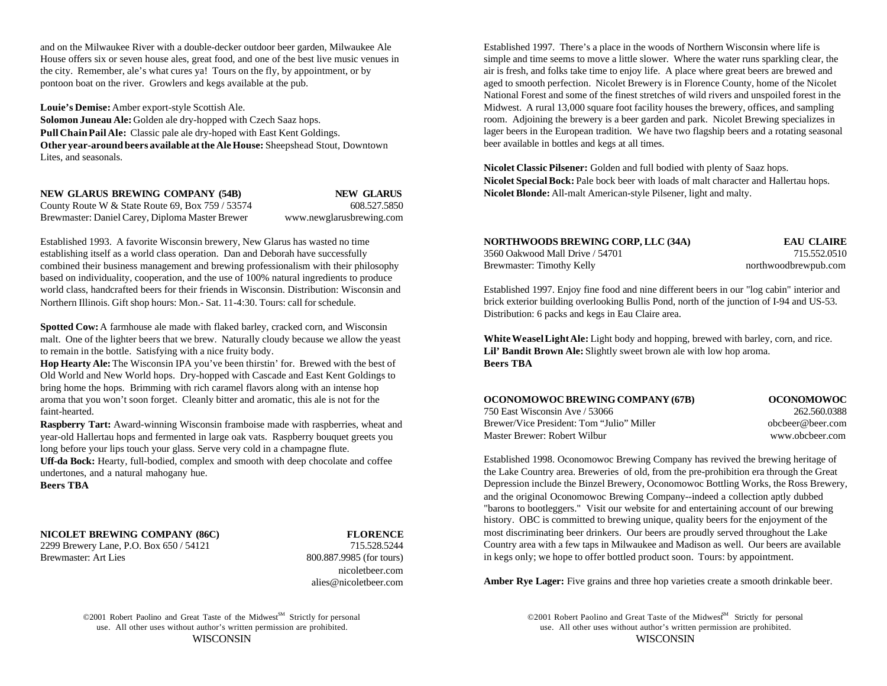and on the Milwaukee River with a double-decker outdoor beer garden, Milwaukee Ale Established 1997. There's a place in the woods of Northern Wisconsin where life is House offers six or seven house ales, great food, and one of the best live music venues in simple and time seems to move a little slower. Where the water runs sparkling clear, the the city. Remember, ale's what cures ya! Tours on the fly, by appointment, or by air is fresh, and folks take time to enjoy life. A place where great beers are brewed and pontoon boat on the river. Growlers and kegs available at the pub. aged to smooth perfection. Nicolet Brewery is in Florence County, home of the Nicolet

**Louie's Demise:** Amber export-style Scottish Ale. **Solomon Juneau Ale:** Golden ale dry-hopped with Czech Saaz hops. **Pull Chain Pail Ale:** Classic pale ale dry-hoped with East Kent Goldings. **Other year-around beers available at the Ale House:** Sheepshead Stout, Downtown Lites, and seasonals.

**NEW GLARUS BREWING COMPANY (54B) NEW GLARUS**

County Route W & State Route 69, Box 759 / 53574 608.527.5850 Brewmaster: Daniel Carey, Diploma Master Brewer www.newglarusbrewing.com

Established 1993. A favorite Wisconsin brewery, New Glarus has wasted no time<br>establishing itself as a world class operation. Dan and Deborah have successfully establishing itself as a world class operation. Dan and Deborah have successfully combined their business management and brewing professionalism with their philosophy based on individuality, cooperation, and the use of 100% natural ingredients to produce world class, handcrafted beers for their friends in Wisconsin. Distribution: Wisconsin and Northern Illinois. Gift shop hours: Mon.- Sat. 11-4:30. Tours: call for schedule.

**Spotted Cow:** A farmhouse ale made with flaked barley, cracked corn, and Wisconsin malt. One of the lighter beers that we brew. Naturally cloudy because we allow the yeast to remain in the bottle. Satisfying with a nice fruity body. **Lil' Bandit Brown Ale:** Slightly sweet brown ale with low hop aroma.

**Hop Hearty Ale:** The Wisconsin IPA you've been thirstin' for. Brewed with the best of **Beers TBA** Old World and New World hops. Dry-hopped with Cascade and East Kent Goldings to bring home the hops. Brimming with rich caramel flavors along with an intense hop aroma that you won't soon forget. Cleanly bitter and aromatic, this ale is not for the faint-hearted.

**Raspberry Tart:** Award-winning Wisconsin framboise made with raspberries, wheat and year-old Hallertau hops and fermented in large oak vats. Raspberry bouquet greets you long before your lips touch your glass. Serve very cold in a champagne flute.

**Uff-da Bock:** Hearty, full-bodied, complex and smooth with deep chocolate and coffee undertones, and a natural mahogany hue.

**Beers TBA**

**NICOLET BREWING COMPANY (86C) FLORENCE**

2299 Brewery Lane, P.O. Box 650 / 54121 715.528.5244 Brewmaster: Art Lies 800.887.9985 (for tours)

nicoletbeer.com alies@nicoletbeer.com

©2001 Robert Paolino and Great Taste of the Midwest<sup>SM</sup> Strictly for personal use. All other uses without author's written permission are prohibited. use. All other uses without author's written permission are prohibited.

National Forest and some of the finest stretches of wild rivers and unspoiled forest in the Midwest. A rural 13,000 square foot facility houses the brewery, offices, and sampling room. Adjoining the brewery is a beer garden and park. Nicolet Brewing specializes in lager beers in the European tradition. We have two flagship beers and a rotating seasonal beer available in bottles and kegs at all times.

**Nicolet Classic Pilsener:** Golden and full bodied with plenty of Saaz hops. **Nicolet Special Bock:** Pale bock beer with loads of malt character and Hallertau hops. **Nicolet Blonde:** All-malt American-style Pilsener, light and malty.

| NORTHWOODS BREWING CORP, LLC (34A) | <b>EAU CLAIRE</b>    |
|------------------------------------|----------------------|
| 3560 Oakwood Mall Drive / 54701    | 715.552.0510         |
| Brewmaster: Timothy Kelly          | northwoodbrewpub.com |

Established 1997. Enjoy fine food and nine different beers in our "log cabin" interior and brick exterior building overlooking Bullis Pond, north of the junction of I-94 and US-53. Distribution: 6 packs and kegs in Eau Claire area.

**White Weasel Light Ale:** Light body and hopping, brewed with barley, corn, and rice.

| OCONOMOWOC BREWING COMPANY (67B)          | <b>OCONOMOWOC</b> |
|-------------------------------------------|-------------------|
| 750 East Wisconsin Ave / 53066            | 262.560.0388      |
| Brewer/Vice President: Tom "Julio" Miller | obcheer@heer.com  |
| Master Brewer: Robert Wilbur              | www.obcbeer.com   |

Established 1998. Oconomowoc Brewing Company has revived the brewing heritage of the Lake Country area. Breweries of old, from the pre-prohibition era through the Great Depression include the Binzel Brewery, Oconomowoc Bottling Works, the Ross Brewery, and the original Oconomowoc Brewing Company--indeed a collection aptly dubbed "barons to bootleggers." Visit our website for and entertaining account of our brewing history. OBC is committed to brewing unique, quality beers for the enjoyment of the most discriminating beer drinkers. Our beers are proudly served throughout the Lake Country area with a few taps in Milwaukee and Madison as well. Our beers are available in kegs only; we hope to offer bottled product soon. Tours: by appointment.

Amber Rye Lager: Five grains and three hop varieties create a smooth drinkable beer.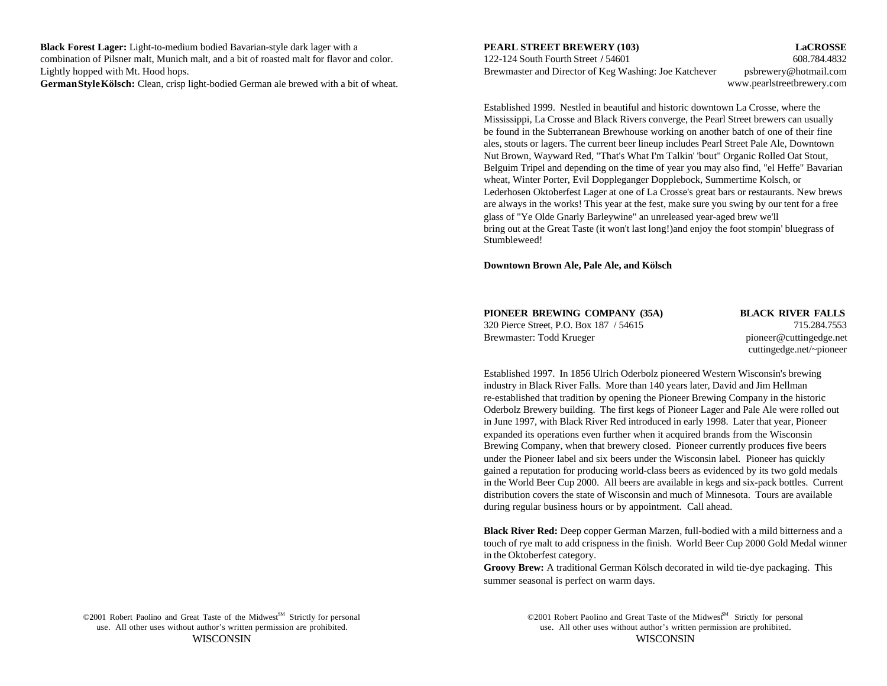**Black Forest Lager:** Light-to-medium bodied Bavarian-style dark lager with a **PEARL STREET BREWERY (103) LaCROSSE** combination of Pilsner malt, Munich malt, and a bit of roasted malt for flavor and color. 122-124 South Fourth Street **/** 54601 608.784.4832 Lightly hopped with Mt. Hood hops. Brewmaster and Director of Keg Washing: Joe Katchever psbrewery@hotmail.com

**German Style Kölsch:** Clean, crisp light-bodied German ale brewed with a bit of wheat.

www.pearlstreetbrewery.com

Established 1999. Nestled in beautiful and historic downtown La Crosse, where the Mississippi, La Crosse and Black Rivers converge, the Pearl Street brewers can usually be found in the Subterranean Brewhouse working on another batch of one of their fine ales, stouts or lagers. The current beer lineup includes Pearl Street Pale Ale, Downtown Nut Brown, Wayward Red, "That's What I'm Talkin' 'bout" Organic Rolled Oat Stout, Belguim Tripel and depending on the time of year you may also find, "el Heffe" Bavarian wheat, Winter Porter, Evil Doppleganger Dopplebock, Summertime Kolsch, or Lederhosen Oktoberfest Lager at one of La Crosse's great bars or restaurants. New brews are always in the works! This year at the fest, make sure you swing by our tent for a free glass of "Ye Olde Gnarly Barleywine" an unreleased year-aged brew we'll bring out at the Great Taste (it won't last long!)and enjoy the foot stompin' bluegrass of Stumbleweed!

**Downtown Brown Ale, Pale Ale, and Kölsch**

| PIONEER BREWING COMPANY (35A)           | <b>BLACK RIVER FALLS</b> |
|-----------------------------------------|--------------------------|
| 320 Pierce Street, P.O. Box 187 / 54615 | 715.284.7553             |
| Brewmaster: Todd Krueger                | pioneer@cuttingedge.net  |
|                                         | outtingodge not nionegr  |

cuttingedge.net/~pioneer

Established 1997. In 1856 Ulrich Oderbolz pioneered Western Wisconsin's brewing industry in Black River Falls. More than 140 years later, David and Jim Hellman re-established that tradition by opening the Pioneer Brewing Company in the historic Oderbolz Brewery building. The first kegs of Pioneer Lager and Pale Ale were rolled out in June 1997, with Black River Red introduced in early 1998. Later that year, Pioneer expanded its operations even further when it acquired brands from the Wisconsin Brewing Company, when that brewery closed. Pioneer currently produces five beers under the Pioneer label and six beers under the Wisconsin label. Pioneer has quickly gained a reputation for producing world-class beers as evidenced by its two gold medals in the World Beer Cup 2000. All beers are available in kegs and six-pack bottles. Current distribution covers the state of Wisconsin and much of Minnesota. Tours are available during regular business hours or by appointment. Call ahead.

**Black River Red:** Deep copper German Marzen, full-bodied with a mild bitterness and a touch of rye malt to add crispness in the finish. World Beer Cup 2000 Gold Medal winner in the Oktoberfest category.

**Groovy Brew:** A traditional German Kölsch decorated in wild tie-dye packaging. This summer seasonal is perfect on warm days.

©2001 Robert Paolino and Great Taste of the Midwest<sup>SM</sup> Strictly for personal

use. All other uses without author's written permission are prohibited. use. All other uses without author's written permission are prohibited. WISCONSIN WISCONSIN ©2001 Robert Paolino and Great Taste of the Midwest<sup>M</sup> Strictly for personal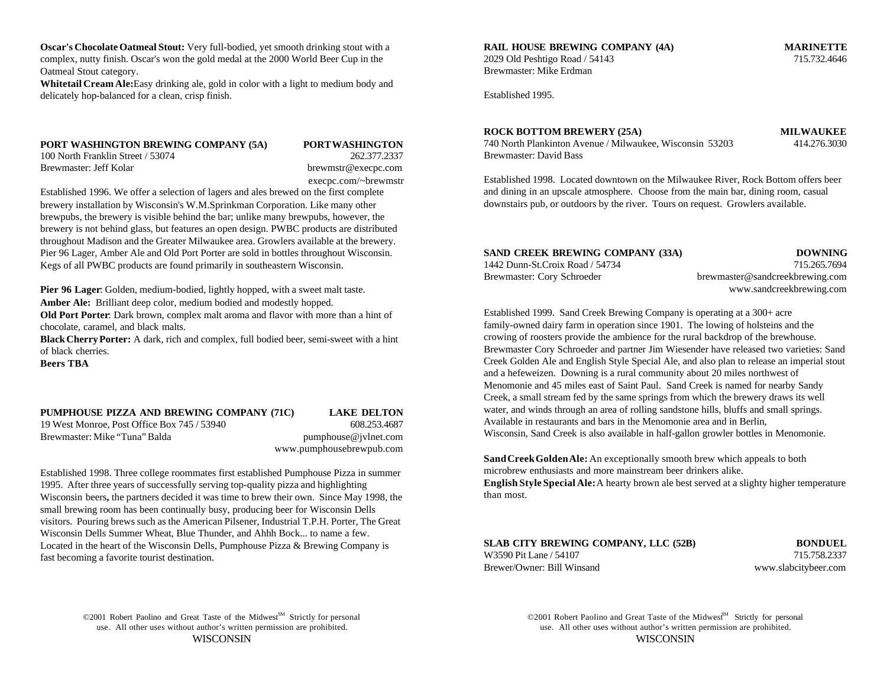**Oscar's Chocolate Oatmeal Stout:** Very full-bodied, yet smooth drinking stout with a **RAIL HOUSE BREWING COMPANY (4A) MARINETTE** complex, nutty finish. Oscar's won the gold medal at the 2000 World Beer Cup in the Oatmeal Stout category.

Whitetail Cream Ale: Easy drinking ale, gold in color with a light to medium body and delicately hop-balanced for a clean, crisp finish.

### **PORT WASHINGTON BREWING COMPANY (5A) PORT WASHINGTON**

100 North Franklin Street / 53074 262.377.2337 Brewmaster: Jeff Kolar brewmstr@execpc.com execpc.com/~brewmstr

Established 1996. We offer a selection of lagers and ales brewed on the first complete brewery installation by Wisconsin's W.M.Sprinkman Corporation. Like many other brewpubs, the brewery is visible behind the bar; unlike many brewpubs, however, the brewery is not behind glass, but features an open design. PWBC products are distributed throughout Madison and the Greater Milwaukee area. Growlers available at the brewery. Pier 96 Lager, Amber Ale and Old Port Porter are sold in bottles throughout Wisconsin. Kegs of all PWBC products are found primarily in southeastern Wisconsin.

**Pier 96 Lager**: Golden, medium-bodied, lightly hopped, with a sweet malt taste. **Amber Ale:** Brilliant deep color, medium bodied and modestly hopped.

**Old Port Porter**: Dark brown, complex malt aroma and flavor with more than a hint of chocolate, caramel, and black malts.

**Black Cherry Porter:** A dark, rich and complex, full bodied beer, semi-sweet with a hint of black cherries.

**Beers TBA**

## **PUMPHOUSE PIZZA AND BREWING COMPANY (71C) LAKE DELTON**

Brewmaster: Mike "Tuna" Balda pumphouse @jvlnet.com

# 19 West Monroe, Post Office Box 745 / 53940 608.253.4687 www.pumphousebrewpub.com

Established 1998. Three college roommates first established Pumphouse Pizza in summer 1995. After three years of successfully serving top-quality pizza and highlighting Wisconsin beers**,** the partners decided it was time to brew their own. Since May 1998, the small brewing room has been continually busy, producing beer for Wisconsin Dells visitors. Pouring brews such as the American Pilsener, Industrial T.P.H. Porter, The Great Wisconsin Dells Summer Wheat, Blue Thunder, and Ahhh Bock... to name a few. Located in the heart of the Wisconsin Dells, Pumphouse Pizza & Brewing Company is fast becoming a favorite tourist destination.

2029 Old Peshtigo Road / 54143 715.732.4646 Brewmaster: Mike Erdman

Established 1995.

### **ROCK BOTTOM BREWERY (25A) MILWAUKEE**

740 North Plankinton Avenue / Milwaukee, Wisconsin 53203 414.276.3030 Brewmaster: David Bass

Established 1998. Located downtown on the Milwaukee River, Rock Bottom offers beer and dining in an upscale atmosphere. Choose from the main bar, dining room, casual downstairs pub, or outdoors by the river. Tours on request. Growlers available.

| SAND CREEK BREWING COMPANY (33A) | <b>DOWNING</b>                  |
|----------------------------------|---------------------------------|
| 1442 Dunn-St.Croix Road / 54734  | 715.265.7694                    |
| Brewmaster: Cory Schroeder       | brewmaster@sandcreekbrewing.com |
|                                  | www.sandcreekbrewing.com        |

Established 1999. Sand Creek Brewing Company is operating at a 300+ acre family-owned dairy farm in operation since 1901. The lowing of holsteins and the crowing of roosters provide the ambience for the rural backdrop of the brewhouse. Brewmaster Cory Schroeder and partner Jim Wiesender have released two varieties: Sand Creek Golden Ale and English Style Special Ale, and also plan to release an imperial stout and a hefeweizen. Downing is a rural community about 20 miles northwest of Menomonie and 45 miles east of Saint Paul. Sand Creek is named for nearby Sandy Creek, a small stream fed by the same springs from which the brewery draws its well water, and winds through an area of rolling sandstone hills, bluffs and small springs. Available in restaurants and bars in the Menomonie area and in Berlin, Wisconsin, Sand Creek is also available in half-gallon growler bottles in Menomonie.

**Sand Creek Golden Ale:** An exceptionally smooth brew which appeals to both microbrew enthusiasts and more mainstream beer drinkers alike.

**English Style Special Ale:** A hearty brown ale best served at a slighty higher temperature than most.

**SLAB CITY BREWING COMPANY, LLC (52B) BONDUEL** W3590 Pit Lane / 54107 715.758.2337 Brewer/Owner: Bill Winsand www.slabcitybeer.com

©2001 Robert Paolino and Great Taste of the Midwest<sup>SM</sup> Strictly for personal use. All other uses without author's written permission are prohibited. use. All other uses without author's written permission are prohibited.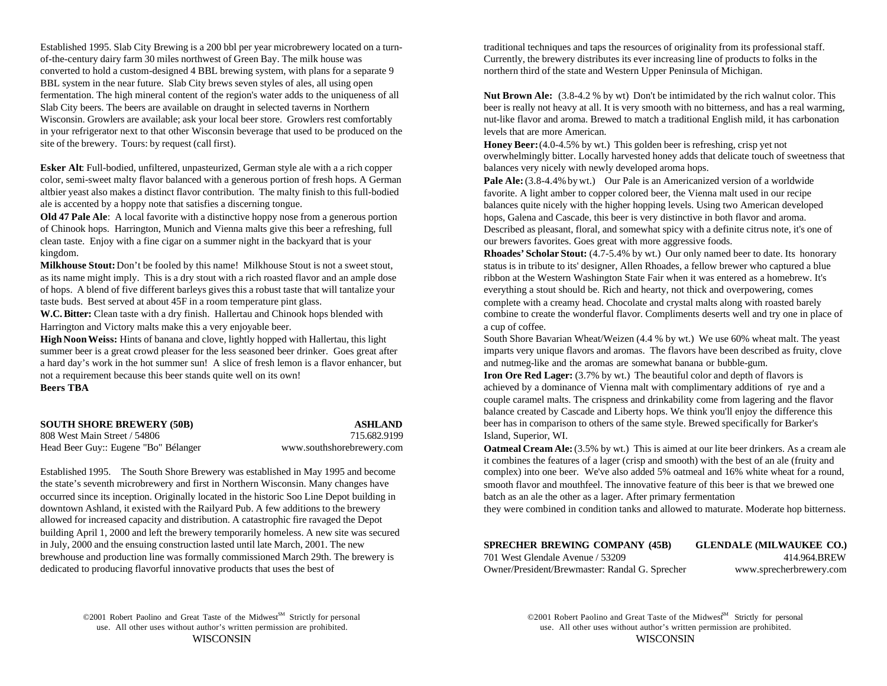Established 1995. Slab City Brewing is a 200 bbl per year microbrewery located on a turn- traditional techniques and taps the resources of originality from its professional staff. of-the-century dairy farm 30 miles northwest of Green Bay. The milk house was Currently, the brewery distributes its ever increasing line of products to folks in the converted to hold a custom-designed 4 BBL brewing system, with plans for a separate 9 northern third of the state and Western Upper Peninsula of Michigan. BBL system in the near future. Slab City brews seven styles of ales, all using open fermentation. The high mineral content of the region's water adds to the uniqueness of all Slab City beers. The beers are available on draught in selected taverns in Northern Wisconsin. Growlers are available; ask your local beer store. Growlers rest comfortably in your refrigerator next to that other Wisconsin beverage that used to be produced on the site of the brewery. Tours: by request (call first).

**Esker Alt**: Full-bodied, unfiltered, unpasteurized, German style ale with a a rich copper color, semi-sweet malty flavor balanced with a generous portion of fresh hops. A German altbier yeast also makes a distinct flavor contribution. The malty finish to this full-bodied ale is accented by a hoppy note that satisfies a discerning tongue.

**Old 47 Pale Ale**: A local favorite with a distinctive hoppy nose from a generous portion of Chinook hops. Harrington, Munich and Vienna malts give this beer a refreshing, full clean taste. Enjoy with a fine cigar on a summer night in the backyard that is your kingdom.

**Milkhouse Stout:** Don't be fooled by this name! Milkhouse Stout is not a sweet stout, as its name might imply. This is a dry stout with a rich roasted flavor and an ample dose of hops. A blend of five different barleys gives this a robust taste that will tantalize your taste buds. Best served at about 45F in a room temperature pint glass.

Harrington and Victory malts make this a very enjoyable beer. A cup of coffee.

**High Noon Weiss:** Hints of banana and clove, lightly hopped with Hallertau, this light summer beer is a great crowd pleaser for the less seasoned beer drinker. Goes great after a hard day's work in the hot summer sun! A slice of fresh lemon is a flavor enhancer, but not a requirement because this beer stands quite well on its own!<br> **Iron Ore Red Lager:** (3.7% by wt.) The beautiful color and depth of flavors is **Beers TBA**

| <b>SOUTH SHORE BREWERY (50B)</b>     |              |
|--------------------------------------|--------------|
| 808 West Main Street / 54806         |              |
| Head Beer Guy:: Eugene "Bo" Bélanger | www.southsho |

**ASHLAND** orebrewery.com

Established 1995. The South Shore Brewery was established in May 1995 and become the state's seventh microbrewery and first in Northern Wisconsin. Many changes have occurred since its inception. Originally located in the historic Soo Line Depot building in downtown Ashland, it existed with the Railyard Pub. A few additions to the brewery allowed for increased capacity and distribution. A catastrophic fire ravaged the Depot building April 1, 2000 and left the brewery temporarily homeless. A new site was secured in July, 2000 and the ensuing construction lasted until late March, 2001. The new brewhouse and production line was formally commissioned March 29th. The brewery is dedicated to producing flavorful innovative products that uses the best of

**Nut Brown Ale:** (3.8-4.2 % by wt) Don't be intimidated by the rich walnut color. This beer is really not heavy at all. It is very smooth with no bitterness, and has a real warming, nut-like flavor and aroma. Brewed to match a traditional English mild, it has carbonation levels that are more American.

**Honey Beer:** (4.0-4.5% by wt.) This golden beer is refreshing, crisp yet not overwhelmingly bitter. Locally harvested honey adds that delicate touch of sweetness that balances very nicely with newly developed aroma hops.

**Pale Ale:** (3.8-4.4% by wt.) Our Pale is an Americanized version of a worldwide favorite. A light amber to copper colored beer, the Vienna malt used in our recipe balances quite nicely with the higher hopping levels. Using two American developed hops, Galena and Cascade, this beer is very distinctive in both flavor and aroma. Described as pleasant, floral, and somewhat spicy with a definite citrus note, it's one of our brewers favorites. Goes great with more aggressive foods.

W.C. Bitter: Clean taste with a dry finish. Hallertau and Chinook hops blended with combine to create the wonderful flavor. Compliments deserts well and try one in place of **Rhoades' Scholar Stout:** (4.7-5.4% by wt.) Our only named beer to date. Its honorary status is in tribute to its' designer, Allen Rhoades, a fellow brewer who captured a blue ribbon at the Western Washington State Fair when it was entered as a homebrew. It's everything a stout should be. Rich and hearty, not thick and overpowering, comes complete with a creamy head. Chocolate and crystal malts along with roasted barely

> South Shore Bavarian Wheat/Weizen (4.4 % by wt.) We use 60% wheat malt. The yeast imparts very unique flavors and aromas. The flavors have been described as fruity, clove and nutmeg-like and the aromas are somewhat banana or bubble-gum.

715.682.9199 Island, Superior, WI. achieved by a dominance of Vienna malt with complimentary additions of rye and a couple caramel malts. The crispness and drinkability come from lagering and the flavor balance created by Cascade and Liberty hops. We think you'll enjoy the difference this beer has in comparison to others of the same style. Brewed specifically for Barker's

> **Oatmeal Cream Ale:** (3.5% by wt.) This is aimed at our lite beer drinkers. As a cream ale it combines the features of a lager (crisp and smooth) with the best of an ale (fruity and complex) into one beer. We've also added 5% oatmeal and 16% white wheat for a round, smooth flavor and mouthfeel. The innovative feature of this beer is that we brewed one batch as an ale the other as a lager. After primary fermentation

> they were combined in condition tanks and allowed to maturate. Moderate hop bitterness.

## **SPRECHER BREWING COMPANY (45B) GLENDALE (MILWAUKEE CO.)**

701 West Glendale Avenue / 53209 414.964.BREW Owner/President/Brewmaster: Randal G. Sprecher www.sprecherbrewery.com

©2001 Robert Paolino and Great Taste of the Midwest<sup>SM</sup> Strictly for personal ©2001 Robert Paolino and Great Taste of the Midwest<sup>SM</sup> Strictly for personal use. All other uses without author's written permission are prohibited. use. All other uses without author's written permission are prohibited.

WISCONSIN WISCONSIN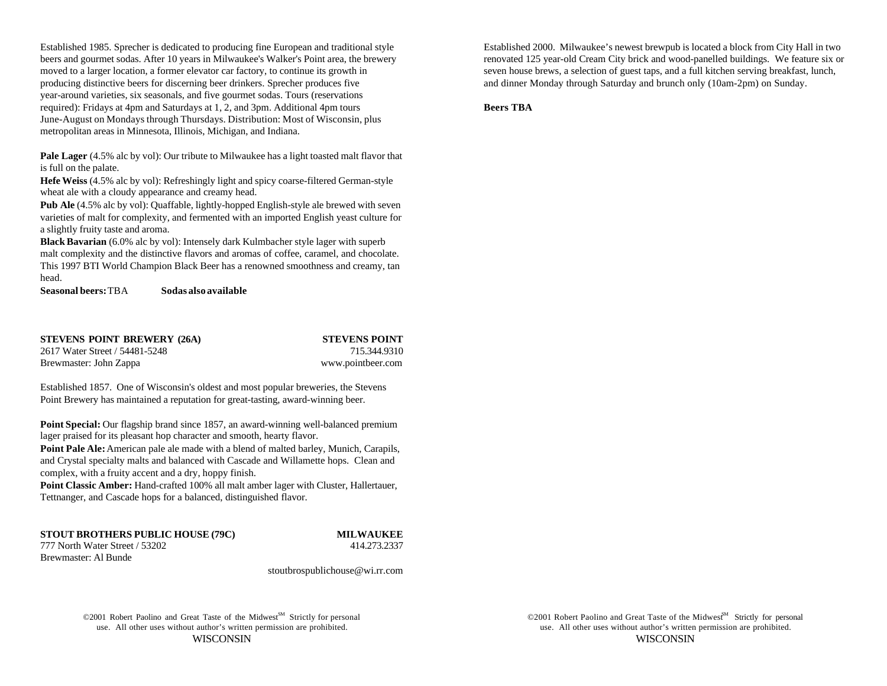Established 1985. Sprecher is dedicated to producing fine European and traditional style Established 2000. Milwaukee's newest brewpub is located a block from City Hall in two moved to a larger location, a former elevator car factory, to continue its growth in seven house brews, a selection of guest taps, and a full kitchen serving breakfast, lunch, producing distinctive beers for discerning beer drinkers. Sprecher produces five and dinner Monday through Saturday and brunch only (10am-2pm) on Sunday. year-around varieties, six seasonals, and five gourmet sodas. Tours (reservations required): Fridays at 4pm and Saturdays at 1, 2, and 3pm. Additional 4pm tours June-August on Mondays through Thursdays. Distribution: Most of Wisconsin, plus metropolitan areas in Minnesota, Illinois, Michigan, and Indiana.

**Pale Lager** (4.5% alc by vol): Our tribute to Milwaukee has a light toasted malt flavor that is full on the palate.

**Hefe Weiss** (4.5% alc by vol): Refreshingly light and spicy coarse-filtered German-style wheat ale with a cloudy appearance and creamy head.

**Pub Ale** (4.5% alc by vol): Quaffable, lightly-hopped English-style ale brewed with seven varieties of malt for complexity, and fermented with an imported English yeast culture for a slightly fruity taste and aroma.

**Black Bavarian** (6.0% alc by vol): Intensely dark Kulmbacher style lager with superb malt complexity and the distinctive flavors and aromas of coffee, caramel, and chocolate. This 1997 BTI World Champion Black Beer has a renowned smoothness and creamy, tan head.

**Seasonal beers:** TBA **Sodas also available**

**STEVENS POINT BREWERY (26A) STEVENS POINT** 2617 Water Street / 54481-5248 715.344.9310 Brewmaster: John Zappa www.pointbeer.com

Established 1857. One of Wisconsin's oldest and most popular breweries, the Stevens Point Brewery has maintained a reputation for great-tasting, award-winning beer.

**Point Special:** Our flagship brand since 1857, an award-winning well-balanced premium lager praised for its pleasant hop character and smooth, hearty flavor.

**Point Pale Ale:** American pale ale made with a blend of malted barley, Munich, Carapils, and Crystal specialty malts and balanced with Cascade and Willamette hops. Clean and complex, with a fruity accent and a dry, hoppy finish.

Point Classic Amber: Hand-crafted 100% all malt amber lager with Cluster, Hallertauer, Tettnanger, and Cascade hops for a balanced, distinguished flavor.

## **STOUT BROTHERS PUBLIC HOUSE (79C) MILWAUKEE**

777 North Water Street / 53202 414.273.2337 Brewmaster: Al Bunde

stoutbrospublichouse@wi.rr.com

©2001 Robert Paolino and Great Taste of the Midwest<sup>SM</sup> Strictly for personal use. All other uses without author's written permission are prohibited. use. All other uses without author's written permission are prohibited.

beers and gourmet sodas. After 10 years in Milwaukee's Walker's Point area, the brewery renovated 125 year-old Cream City brick and wood-panelled buildings. We feature six or

**Beers TBA**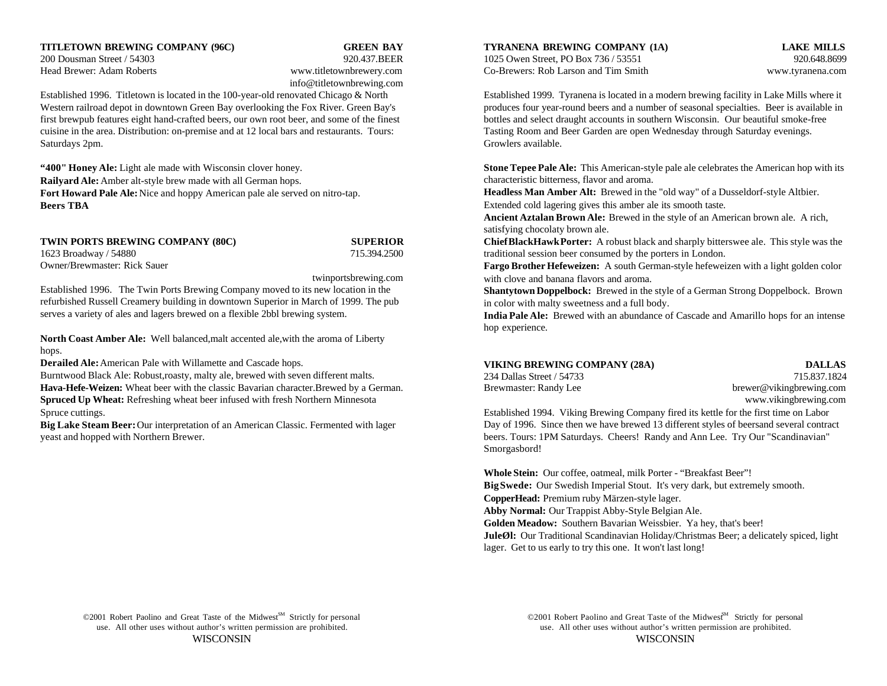### **TITLETOWN BREWING COMPANY (96C) GREEN BAY TYRANENA BREWING COMPANY (1A) LAKE MILLS**

Head Brewer: Adam Roberts www.titletownbrewery.com Co-Brewers: Rob Larson and Tim Smith www.tyranena.com

# info@titletownbrewing.com

Established 1996. Titletown is located in the 100-year-old renovated Chicago & North Established 1999. Tyranena is located in a modern brewing facility in Lake Mills where it Western railroad depot in downtown Green Bay overlooking the Fox River. Green Bay's produces four year-round beers and a number of seasonal specialties. Beer is available in first brewpub features eight hand-crafted beers, our own root beer, and some of the finest bottles and select draught accounts in southern Wisconsin. Our beautiful smoke-free cuisine in the area. Distribution: on-premise and at 12 local bars and restaurants. Tours: Tasting Room and Beer Garden are open Wednesday through Saturday evenings. Saturdays 2pm. Growlers available.

**Railyard Ale:** Amber alt-style brew made with all German hops. **Fort Howard Pale Ale:** Nice and hoppy American pale ale served on nitro-tap. **Beers TBA**

1623 Broadway / 54880 715.394.2500 Owner/Brewmaster: Rick Sauer

twinportsbrewing.com Established 1996. The Twin Ports Brewing Company moved to its new location in the refurbished Russell Creamery building in downtown Superior in March of 1999. The pub serves a variety of ales and lagers brewed on a flexible 2bbl brewing system.

**North Coast Amber Ale:** Well balanced,malt accented ale,with the aroma of Liberty hops.

**Derailed Ale:** American Pale with Willamette and Cascade hops.

Burntwood Black Ale: Robust,roasty, malty ale, brewed with seven different malts. **Hava-Hefe-Weizen:** Wheat beer with the classic Bavarian character.Brewed by a German. **Spruced Up Wheat:** Refreshing wheat beer infused with fresh Northern Minnesota www.vikingbrewing.com Spruce cuttings. Established 1994. Viking Brewing Company fired its kettle for the first time on Labor

**Big Lake Steam Beer:** Our interpretation of an American Classic. Fermented with lager yeast and hopped with Northern Brewer.

200 Dousman Street / 54303 920.437.BEER 1025 Owen Street, PO Box 736 / 53551 920.648.8699

**"400" Honey Ale:** Light ale made with Wisconsin clover honey. **Stone Tepee Pale Ale:** This American-style pale ale celebrates the American hop with its characteristic bitterness, flavor and aroma.

> **Headless Man Amber Alt:** Brewed in the "old way" of a Dusseldorf-style Altbier. Extended cold lagering gives this amber ale its smooth taste.

**Ancient Aztalan Brown Ale:** Brewed in the style of an American brown ale. A rich, satisfying chocolaty brown ale.

**TWIN PORTS BREWING COMPANY (80C) SUPERIOR Chief BlackHawk Porter:** A robust black and sharply bitterswee ale. This style was the traditional session beer consumed by the porters in London.

> **Fargo Brother Hefeweizen:** A south German-style hefeweizen with a light golden color with clove and banana flavors and aroma.

> **Shantytown Doppelbock:** Brewed in the style of a German Strong Doppelbock. Brown in color with malty sweetness and a full body.

> **India Pale Ale:** Brewed with an abundance of Cascade and Amarillo hops for an intense hop experience.

| VIKING BREWING COMPANY (28A) |  | <b>DALLAS</b> |
|------------------------------|--|---------------|
|------------------------------|--|---------------|

234 Dallas Street / 54733 715.837.1824 Brewmaster: Randy Lee brewer@vikingbrewing.com

Day of 1996. Since then we have brewed 13 different styles of beersand several contract beers. Tours: 1PM Saturdays. Cheers! Randy and Ann Lee. Try Our "Scandinavian" Smorgasbord!

**Whole Stein:** Our coffee, oatmeal, milk Porter - "Breakfast Beer"! **Big Swede:** Our Swedish Imperial Stout. It's very dark, but extremely smooth. **CopperHead:** Premium ruby Märzen-style lager. **Abby Normal:** Our Trappist Abby-Style Belgian Ale. **Golden Meadow:** Southern Bavarian Weissbier. Ya hey, that's beer! **JuleØl:** Our Traditional Scandinavian Holiday/Christmas Beer; a delicately spiced, light lager. Get to us early to try this one. It won't last long!

©2001 Robert Paolino and Great Taste of the Midwest<sup>SM</sup> Strictly for personal ©2001 Robert Paolino and Great Taste of the Midwest<sup>SM</sup> Strictly for personal use. All other uses without author's written permission are prohibited. use. All other uses without author's written permission are prohibited. WISCONSIN WISCONSIN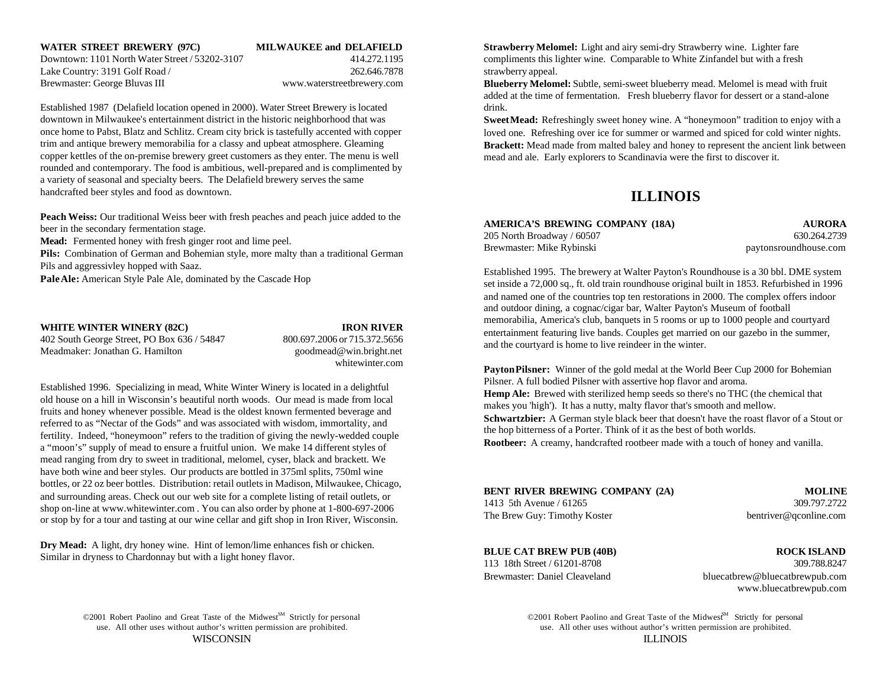Lake Country: 3191 Golf Road / 262.646.7878 strawberry appeal. Brewmaster: George Bluvas III www.waterstreetbrewery.com

Established 1987 (Delafield location opened in 2000). Water Street Brewery is located downtown in Milwaukee's entertainment district in the historic neighborhood that was once home to Pabst, Blatz and Schlitz. Cream city brick is tastefully accented with copper trim and antique brewery memorabilia for a classy and upbeat atmosphere. Gleaming copper kettles of the on-premise brewery greet customers as they enter. The menu is well rounded and contemporary. The food is ambitious, well-prepared and is complimented by a variety of seasonal and specialty beers. The Delafield brewery serves the same handcrafted beer styles and food as downtown.

**Peach Weiss:** Our traditional Weiss beer with fresh peaches and peach juice added to the beer in the secondary fermentation stage.

**Mead:** Fermented honey with fresh ginger root and lime peel.

**Pils:** Combination of German and Bohemian style, more malty than a traditional German Pils and aggressivley hopped with Saaz.

**Pale Ale:** American Style Pale Ale, dominated by the Cascade Hop

| <b>WHITE WINTER WINERY (82C)</b>            | <b>IRON RIVER</b>            |
|---------------------------------------------|------------------------------|
| 402 South George Street, PO Box 636 / 54847 | 800.697.2006 or 715.372.5656 |
| Meadmaker: Jonathan G. Hamilton             | goodmead@win.bright.net      |

### **IRON RIVER**

800.697.2006 or 715.372.5656 whitewinter.com

Established 1996. Specializing in mead, White Winter Winery is located in a delightful old house on a hill in Wisconsin's beautiful north woods. Our mead is made from local fruits and honey whenever possible. Mead is the oldest known fermented beverage and referred to as "Nectar of the Gods" and was associated with wisdom, immortality, and fertility. Indeed, "honeymoon" refers to the tradition of giving the newly-wedded couple a "moon's" supply of mead to ensure a fruitful union. We make 14 different styles of mead ranging from dry to sweet in traditional, melomel, cyser, black and brackett. We have both wine and beer styles. Our products are bottled in 375ml splits, 750ml wine bottles, or 22 oz beer bottles. Distribution: retail outlets in Madison, Milwaukee, Chicago, and surrounding areas. Check out our web site for a complete listing of retail outlets, or shop on-line at www.whitewinter.com . You can also order by phone at 1-800-697-2006 or stop by for a tour and tasting at our wine cellar and gift shop in Iron River, Wisconsin.

**Dry Mead:** A light, dry honey wine. Hint of lemon/lime enhances fish or chicken. Similar in dryness to Chardonnay but with a light honey flavor.

**WATER STREET BREWERY (97C) MILWAUKEE and DELAFIELD Strawberry Melomel:** Light and airy semi-dry Strawberry wine. Lighter fare Downtown: 1101 North Water Street / 53202-3107 414.272.1195 compliments this lighter wine. Comparable to White Zinfandel but with a fresh

> **Blueberry Melomel:** Subtle, semi-sweet blueberry mead. Melomel is mead with fruit added at the time of fermentation. Fresh blueberry flavor for dessert or a stand-alone drink.

**Sweet Mead:** Refreshingly sweet honey wine. A "honeymoon" tradition to enjoy with a loved one. Refreshing over ice for summer or warmed and spiced for cold winter nights. **Brackett:** Mead made from malted baley and honey to represent the ancient link between mead and ale. Early explorers to Scandinavia were the first to discover it.

# **ILLINOIS**

| AMERICA'S BREWING COMPANY (18A) | <b>AURORA</b>         |
|---------------------------------|-----------------------|
| 205 North Broadway / 60507      | 630.264.2739          |
| Brewmaster: Mike Rybinski       | paytonsroundhouse.com |

Established 1995. The brewery at Walter Payton's Roundhouse is a 30 bbl. DME system set inside a 72,000 sq., ft. old train roundhouse original built in 1853. Refurbished in 1996 and named one of the countries top ten restorations in 2000. The complex offers indoor and outdoor dining, a cognac/cigar bar, Walter Payton's Museum of football memorabilia, America's club, banquets in 5 rooms or up to 1000 people and courtyard entertainment featuring live bands. Couples get married on our gazebo in the summer, and the courtyard is home to live reindeer in the winter.

**Payton Pilsner:** Winner of the gold medal at the World Beer Cup 2000 for Bohemian Pilsner. A full bodied Pilsner with assertive hop flavor and aroma. **Hemp Ale:** Brewed with sterilized hemp seeds so there's no THC (the chemical that makes you 'high'). It has a nutty, malty flavor that's smooth and mellow. **Schwartzbier:** A German style black beer that doesn't have the roast flavor of a Stout or the hop bitterness of a Porter. Think of it as the best of both worlds. **Rootbeer:** A creamy, handcrafted rootbeer made with a touch of honey and vanilla.

| <b>BENT RIVER BREWING COMPANY (2A)</b> | <b>MOLINE</b>          |
|----------------------------------------|------------------------|
| 1413 5th Avenue / 61265                | 309.797.2722           |
| The Brew Guy: Timothy Koster           | bentriver@gconline.com |

# **BLUE CAT BREW PUB (40B) ROCK ISLAND**

113 18th Street / 61201-8708 309.788.8247 Brewmaster: Daniel Cleaveland bluecatbrew@bluecatbrewpub.com www.bluecatbrewpub.com

©2001 Robert Paolino and Great Taste of the Midwest<sup>SM</sup> Strictly for personal ©2001 Robert Paolino and Great Taste of the Midwest<sup>SM</sup> Strictly for personal WISCONSIN ILLINOIS

use. All other uses without author's written permission are prohibited. use. All other uses without author's written permission are prohibited.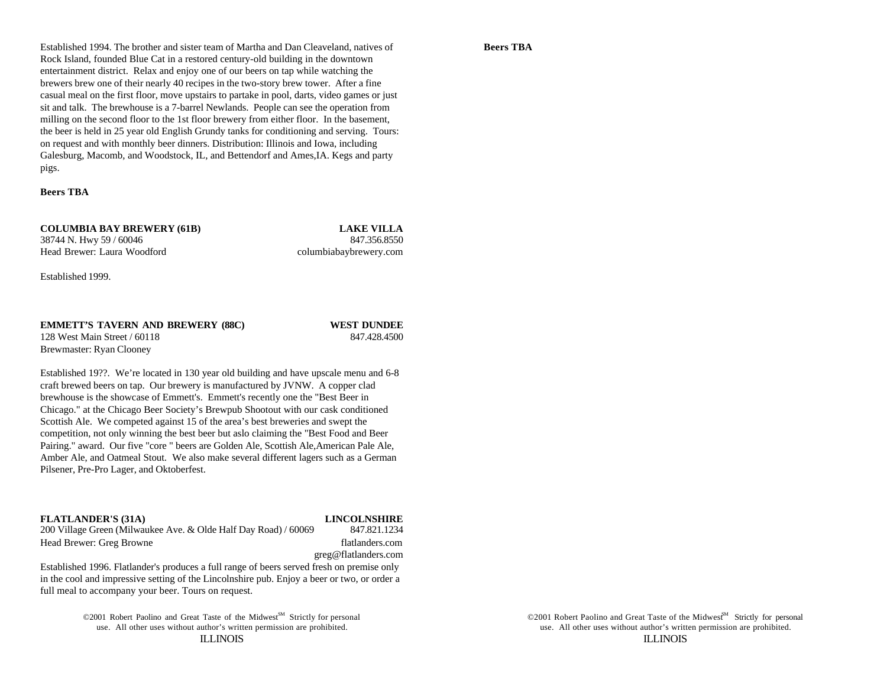### **Beers TBA**

Established 1994. The brother and sister team of Martha and Dan Cleaveland, natives of Rock Island, founded Blue Cat in a restored century-old building in the downtown entertainment district. Relax and enjoy one of our beers on tap while watching the brewers brew one of their nearly 40 recipes in the two-story brew tower. After a fine casual meal on the first floor, move upstairs to partake in pool, darts, video games or just sit and talk. The brewhouse is a 7-barrel Newlands. People can see the operation from milling on the second floor to the 1st floor brewery from either floor. In the basement, the beer is held in 25 year old English Grundy tanks for conditioning and serving. Tours: on request and with monthly beer dinners. Distribution: Illinois and Iowa, including Galesburg, Macomb, and Woodstock, IL, and Bettendorf and Ames,IA. Kegs and party pigs.

### **Beers TBA**

**COLUMBIA BAY BREWERY (61B) LAKE VILLA** 38744 N. Hwy 59 / 60046 847.356.8550

Head Brewer: Laura Woodford columbiabaybrewery.com

Established 1999.

Brewmaster: Ryan Clooney

## **EMMETT'S TAVERN AND BREWERY (88C) WEST DUNDEE** 128 West Main Street / 60118 847.428.4500

Established 19??. We're located in 130 year old building and have upscale menu and 6-8 craft brewed beers on tap. Our brewery is manufactured by JVNW. A copper clad brewhouse is the showcase of Emmett's. Emmett's recently one the "Best Beer in Chicago." at the Chicago Beer Society's Brewpub Shootout with our cask conditioned Scottish Ale. We competed against 15 of the area's best breweries and swept the competition, not only winning the best beer but aslo claiming the "Best Food and Beer Pairing." award. Our five "core " beers are Golden Ale, Scottish Ale,American Pale Ale, Amber Ale, and Oatmeal Stout. We also make several different lagers such as a German Pilsener, Pre-Pro Lager, and Oktoberfest.

**FLATLANDER'S (31A) LINCOLNSHIRE**<br>200 Village Green (Milwaukee Ave. & Olde Half Dav Road) / 60069 **847.821.1234** 200 Village Green (Milwaukee Ave. & Olde Half Day Road) / 60069 Head Brewer: Greg Browne flatlanders.com

greg@flatlanders.com

Established 1996. Flatlander's produces a full range of beers served fresh on premise only in the cool and impressive setting of the Lincolnshire pub. Enjoy a beer or two, or order a full meal to accompany your beer. Tours on request.

> ©2001 Robert Paolino and Great Taste of the Midwest<sup>SM</sup> Strictly for personal ©2001 Robert Paolino and Great Taste of the Midwest<sup>SM</sup> Strictly for personal use. All other uses without author's written permission are prohibited. use. All other uses without author's written permission are prohibited.

ILLINOIS ILLINOIS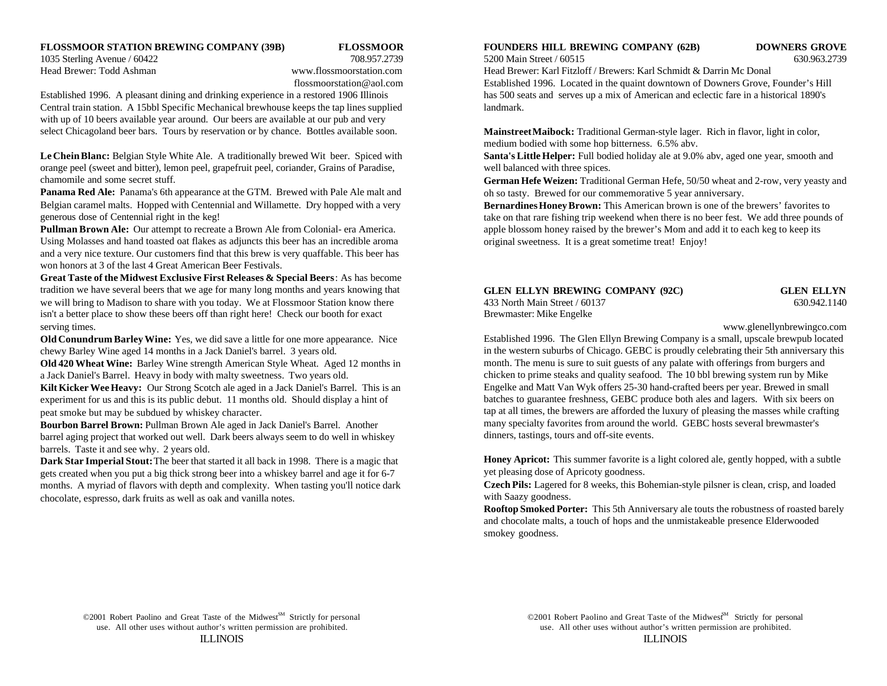### **FLOSSMOOR STATION BREWING COMPANY (39B) FLOSSMOOR FOUNDERS HILL BREWING COMPANY (62B) DOWNERS GROVE**

1035 Sterling Avenue / 60422 708.957.2739 5200 Main Street / 60515 630.963.2739

Established 1996. A pleasant dining and drinking experience in a restored 1906 Illinois has 500 seats and serves up a mix of American and eclectic fare in a historical 1890's Central train station. A 15bbl Specific Mechanical brewhouse keeps the tap lines supplied landmark. with up of 10 beers available year around. Our beers are available at our pub and very select Chicagoland beer bars. Tours by reservation or by chance. Bottles available soon.

**Le Chein Blanc:** Belgian Style White Ale. A traditionally brewed Wit beer. Spiced with orange peel (sweet and bitter), lemon peel, grapefruit peel, coriander, Grains of Paradise, chamomile and some secret stuff.

**Panama Red Ale:** Panama's 6th appearance at the GTM. Brewed with Pale Ale malt and Belgian caramel malts. Hopped with Centennial and Willamette. Dry hopped with a very generous dose of Centennial right in the keg!

**Pullman Brown Ale:** Our attempt to recreate a Brown Ale from Colonial- era America. Using Molasses and hand toasted oat flakes as adjuncts this beer has an incredible aroma and a very nice texture. Our customers find that this brew is very quaffable. This beer has won honors at 3 of the last 4 Great American Beer Festivals.

**Great Taste of the Midwest Exclusive First Releases & Special Beers**: As has become tradition we have several beers that we age for many long months and years knowing that we will bring to Madison to share with you today. We at Flossmoor Station know there 433 North Main Street / 60137 630.942.1140 isn't a better place to show these beers off than right here! Check our booth for exact Brewmaster: Mike Engelke serving times. www.glenellynbrewingco.com

**Old Conundrum Barley Wine:** Yes, we did save a little for one more appearance. Nice chewy Barley Wine aged 14 months in a Jack Daniel's barrel. 3 years old.

**Old 420 Wheat Wine:** Barley Wine strength American Style Wheat. Aged 12 months in a Jack Daniel's Barrel. Heavy in body with malty sweetness. Two years old. **Kilt Kicker Wee Heavy:** Our Strong Scotch ale aged in a Jack Daniel's Barrel. This is an experiment for us and this is its public debut. 11 months old. Should display a hint of peat smoke but may be subdued by whiskey character.

**Bourbon Barrel Brown:** Pullman Brown Ale aged in Jack Daniel's Barrel. Another barrel aging project that worked out well. Dark beers always seem to do well in whiskey barrels. Taste it and see why. 2 years old.

**Dark Star Imperial Stout:** The beer that started it all back in 1998. There is a magic that gets created when you put a big thick strong beer into a whiskey barrel and age it for 6-7 months. A myriad of flavors with depth and complexity. When tasting you'll notice dark chocolate, espresso, dark fruits as well as oak and vanilla notes.

Head Brewer: Todd Ashman www.flossmoorstation.com Head Brewer: Karl Fitzloff / Brewers: Karl Schmidt & Darrin Mc Donal flossmoorstation@aol.com Established 1996. Located in the quaint downtown of Downers Grove, Founder's Hill

> **Mainstreet Maibock:** Traditional German-style lager. Rich in flavor, light in color, medium bodied with some hop bitterness. 6.5% abv.

**Santa's Little Helper:** Full bodied holiday ale at 9.0% abv, aged one year, smooth and well balanced with three spices.

**German Hefe Weizen:** Traditional German Hefe, 50/50 wheat and 2-row, very yeasty and oh so tasty. Brewed for our commemorative 5 year anniversary.

**Bernardines Honey Brown:** This American brown is one of the brewers' favorites to take on that rare fishing trip weekend when there is no beer fest. We add three pounds of apple blossom honey raised by the brewer's Mom and add it to each keg to keep its original sweetness. It is a great sometime treat! Enjoy!

# **GLEN ELLYN BREWING COMPANY (92C) GLEN ELLYN**

Established 1996. The Glen Ellyn Brewing Company is a small, upscale brewpub located in the western suburbs of Chicago. GEBC is proudly celebrating their 5th anniversary this month. The menu is sure to suit guests of any palate with offerings from burgers and chicken to prime steaks and quality seafood. The 10 bbl brewing system run by Mike Engelke and Matt Van Wyk offers 25-30 hand-crafted beers per year. Brewed in small batches to guarantee freshness, GEBC produce both ales and lagers. With six beers on tap at all times, the brewers are afforded the luxury of pleasing the masses while crafting many specialty favorites from around the world. GEBC hosts several brewmaster's dinners, tastings, tours and off-site events.

**Honey Apricot:** This summer favorite is a light colored ale, gently hopped, with a subtle yet pleasing dose of Apricoty goodness.

**Czech Pils:** Lagered for 8 weeks, this Bohemian-style pilsner is clean, crisp, and loaded with Saazy goodness.

**Rooftop Smoked Porter:** This 5th Anniversary ale touts the robustness of roasted barely and chocolate malts, a touch of hops and the unmistakeable presence Elderwooded smokey goodness.

use. All other uses without author's written permission are prohibited. use. All other uses without author's written permission are prohibited. ILLINOIS ILLINOIS  $\odot$ 2001 Robert Paolino and Great Taste of the Midwest<sup>SM</sup> Strictly for personal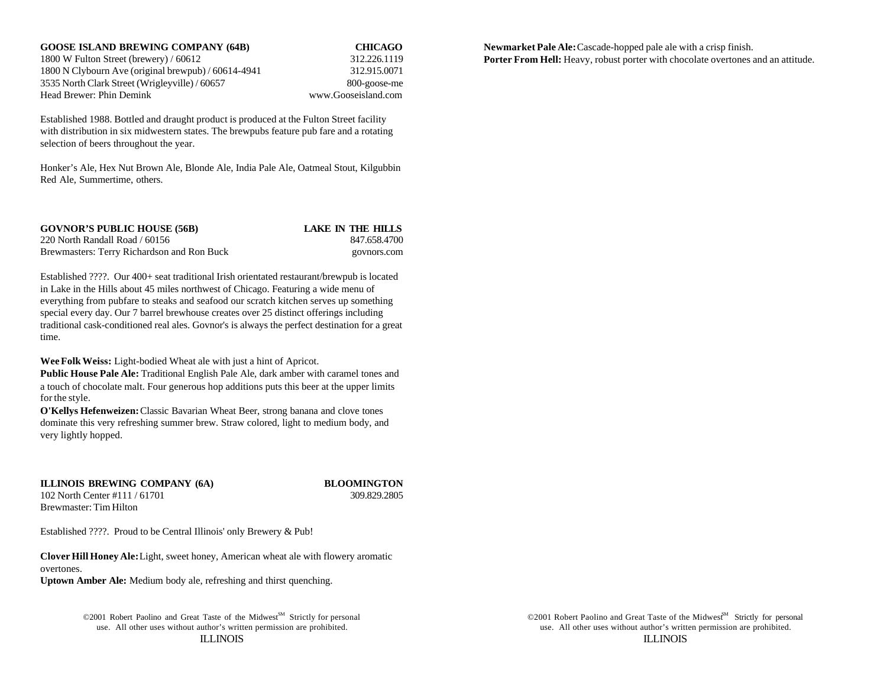1800 W Fulton Street (brewery) / 60612 312.226.1119 1800 N Clybourn Ave (original brewpub) / 60614-4941 312.915.0071 3535 North Clark Street (Wrigleyville) / 60657 800-goose-me Head Brewer: Phin Demink www.Gooseisland.com

Established 1988. Bottled and draught product is produced at the Fulton Street facility with distribution in six midwestern states. The brewpubs feature pub fare and a rotating selection of beers throughout the year.

Honker's Ale, Hex Nut Brown Ale, Blonde Ale, India Pale Ale, Oatmeal Stout, Kilgubbin Red Ale, Summertime, others.

| <b>GOVNOR'S PUBLIC HOUSE (56B)</b>         | LAKE IN THE HILLS |
|--------------------------------------------|-------------------|
| 220 North Randall Road / 60156             | 847.658.4700      |
| Brewmasters: Terry Richardson and Ron Buck | govnors.com       |

Established ????. Our 400+ seat traditional Irish orientated restaurant/brewpub is located in Lake in the Hills about 45 miles northwest of Chicago. Featuring a wide menu of everything from pubfare to steaks and seafood our scratch kitchen serves up something special every day. Our 7 barrel brewhouse creates over 25 distinct offerings including traditional cask-conditioned real ales. Govnor's is always the perfect destination for a great time.

**Wee Folk Weiss:** Light-bodied Wheat ale with just a hint of Apricot.

**Public House Pale Ale:** Traditional English Pale Ale, dark amber with caramel tones and a touch of chocolate malt. Four generous hop additions puts this beer at the upper limits for the style.

**O'Kellys Hefenweizen:** Classic Bavarian Wheat Beer, strong banana and clove tones dominate this very refreshing summer brew. Straw colored, light to medium body, and very lightly hopped.

**ILLINOIS BREWING COMPANY (6A) BLOOMINGTON** 102 North Center #111 / 61701 309.829.2805 Brewmaster: Tim Hilton

Established ????. Proud to be Central Illinois' only Brewery & Pub!

**Clover Hill Honey Ale:** Light, sweet honey, American wheat ale with flowery aromatic overtones. **Uptown Amber Ale:** Medium body ale, refreshing and thirst quenching.

> ©2001 Robert Paolino and Great Taste of the Midwest<sup>SM</sup> Strictly for personal use. All other uses without author's written permission are prohibited. use. All other uses without author's written permission are prohibited.

ILLINOIS ILLINOIS ©2001 Robert Paolino and Great Taste of the Midwest<sup>M</sup> Strictly for personal

**GOOSE ISLAND BREWING COMPANY (64B) CHICAGO Newmarket Pale Ale:** Cascade-hopped pale ale with a crisp finish. **Porter From Hell:** Heavy, robust porter with chocolate overtones and an attitude.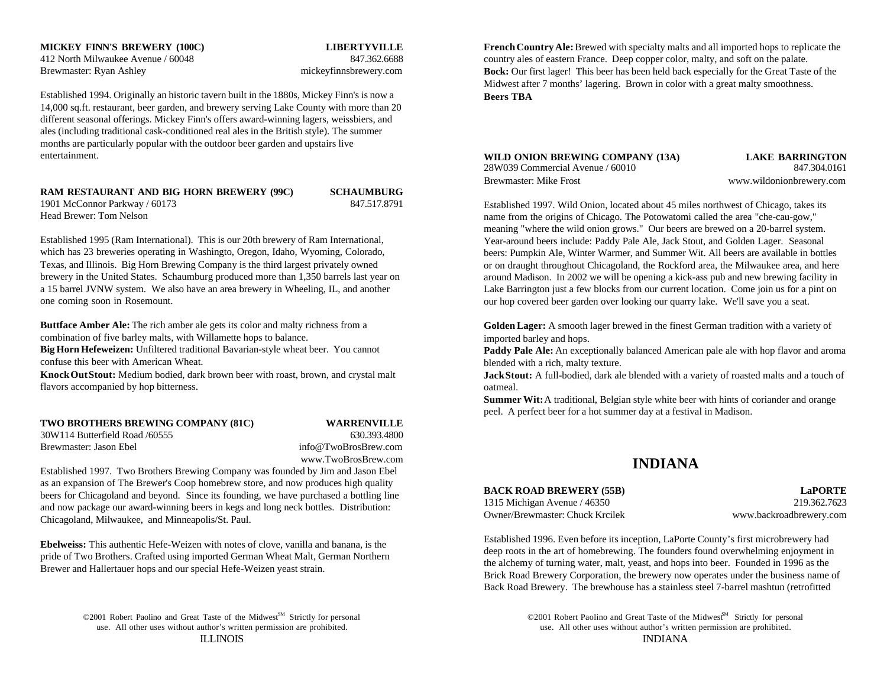# 412 North Milwaukee Avenue / 60048 847.362.6688

Brewmaster: Ryan Ashley mickeyfinnsbrewery.com

Established 1994. Originally an historic tavern built in the 1880s, Mickey Finn's is now a 14,000 sq.ft. restaurant, beer garden, and brewery serving Lake County with more than 20 different seasonal offerings. Mickey Finn's offers award-winning lagers, weissbiers, and ales (including traditional cask-conditioned real ales in the British style). The summer months are particularly popular with the outdoor beer garden and upstairs live entertainment.

# **RAM RESTAURANT AND BIG HORN BREWERY (99C) SCHAUMBURG**

1901 McConnor Parkway / 60173 847.517.8791 Head Brewer: Tom Nelson

Established 1995 (Ram International). This is our 20th brewery of Ram International, which has 23 breweries operating in Washingto, Oregon, Idaho, Wyoming, Colorado, Texas, and Illinois. Big Horn Brewing Company is the third largest privately owned brewery in the United States. Schaumburg produced more than 1,350 barrels last year on a 15 barrel JVNW system. We also have an area brewery in Wheeling, IL, and another one coming soon in Rosemount.

**Buttface Amber Ale:** The rich amber ale gets its color and malty richness from a combination of five barley malts, with Willamette hops to balance.

**Big Horn Hefeweizen:** Unfiltered traditional Bavarian-style wheat beer. You cannot confuse this beer with American Wheat.

**Knock Out Stout:** Medium bodied, dark brown beer with roast, brown, and crystal malt flavors accompanied by hop bitterness.

### **TWO BROTHERS BREWING COMPANY (81C) WARRENVILLE**

30W114 Butterfield Road /60555 630.393.4800 Brewmaster: Jason Ebel info@TwoBrosBrew.com

www.TwoBrosBrew.com

Established 1997. Two Brothers Brewing Company was founded by Jim and Jason Ebel as an expansion of The Brewer's Coop homebrew store, and now produces high quality beers for Chicagoland and beyond. Since its founding, we have purchased a bottling line and now package our award-winning beers in kegs and long neck bottles. Distribution: Chicagoland, Milwaukee, and Minneapolis/St. Paul.

**Ebelweiss:** This authentic Hefe-Weizen with notes of clove, vanilla and banana, is the pride of Two Brothers. Crafted using imported German Wheat Malt, German Northern Brewer and Hallertauer hops and our special Hefe-Weizen yeast strain.

©2001 Robert Paolino and Great Taste of the Midwest<sup>SM</sup> Strictly for personal

**MICKEY FINN'S BREWERY (100C) LIBERTYVILLE French Country Ale:** Brewed with specialty malts and all imported hops to replicate the country ales of eastern France. Deep copper color, malty, and soft on the palate. **Bock:** Our first lager! This beer has been held back especially for the Great Taste of the Midwest after 7 months' lagering. Brown in color with a great malty smoothness. **Beers TBA**

### **WILD ONION BREWING COMPANY (13A) LAKE BARRINGTON** 28W039 Commercial Avenue / 60010 847.304.0161 Brewmaster: Mike Frost www.wildonionbrewery.com

Established 1997. Wild Onion, located about 45 miles northwest of Chicago, takes its name from the origins of Chicago. The Potowatomi called the area "che-cau-gow," meaning "where the wild onion grows." Our beers are brewed on a 20-barrel system. Year-around beers include: Paddy Pale Ale, Jack Stout, and Golden Lager. Seasonal beers: Pumpkin Ale, Winter Warmer, and Summer Wit. All beers are available in bottles or on draught throughout Chicagoland, the Rockford area, the Milwaukee area, and here around Madison. In 2002 we will be opening a kick-ass pub and new brewing facility in Lake Barrington just a few blocks from our current location. Come join us for a pint on our hop covered beer garden over looking our quarry lake. We'll save you a seat.

**Golden Lager:** A smooth lager brewed in the finest German tradition with a variety of imported barley and hops.

**Paddy Pale Ale:** An exceptionally balanced American pale ale with hop flavor and aroma blended with a rich, malty texture.

**Jack Stout:** A full-bodied, dark ale blended with a variety of roasted malts and a touch of oatmeal.

**Summer Wit:** A traditional, Belgian style white beer with hints of coriander and orange peel. A perfect beer for a hot summer day at a festival in Madison.

# **INDIANA**

### **BACK ROAD BREWERY (55B) LaPORTE**

1315 Michigan Avenue / 46350 219.362.7623 Owner/Brewmaster: Chuck Krcilek www.backroadbrewery.com

Established 1996. Even before its inception, LaPorte County's first microbrewery had deep roots in the art of homebrewing. The founders found overwhelming enjoyment in the alchemy of turning water, malt, yeast, and hops into beer. Founded in 1996 as the Brick Road Brewery Corporation, the brewery now operates under the business name of Back Road Brewery. The brewhouse has a stainless steel 7-barrel mashtun (retrofitted

use. All other uses without author's written permission are prohibited. use. All other uses without author's written permission are prohibited. ILLINOIS INDIANA ©2001 Robert Paolino and Great Taste of the Midwest<sup>M</sup> Strictly for personal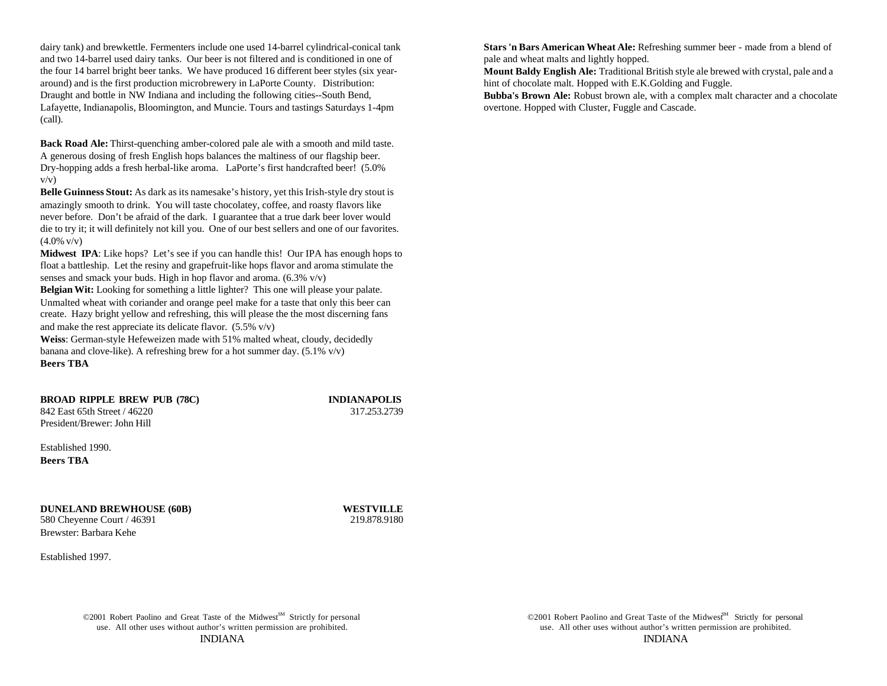dairy tank) and brewkettle. Fermenters include one used 14-barrel cylindrical-conical tank and two 14-barrel used dairy tanks. Our beer is not filtered and is conditioned in one of pale and wheat malts and lightly hopped. the four 14 barrel bright beer tanks. We have produced 16 different beer styles (six yeararound) and is the first production microbrewery in LaPorte County. Distribution: Draught and bottle in NW Indiana and including the following cities--South Bend, Lafayette, Indianapolis, Bloomington, and Muncie. Tours and tastings Saturdays 1-4pm (call).

**Back Road Ale:** Thirst-quenching amber-colored pale ale with a smooth and mild taste. A generous dosing of fresh English hops balances the maltiness of our flagship beer. Dry-hopping adds a fresh herbal-like aroma. LaPorte's first handcrafted beer! (5.0%  $v/v$ )

**Belle Guinness Stout:** As dark as its namesake's history, yet this Irish-style dry stout is amazingly smooth to drink. You will taste chocolatey, coffee, and roasty flavors like never before. Don't be afraid of the dark. I guarantee that a true dark beer lover would die to try it; it will definitely not kill you. One of our best sellers and one of our favorites.  $(4.0\% \text{ v/v})$ 

**Midwest IPA**: Like hops? Let's see if you can handle this! Our IPA has enough hops to float a battleship. Let the resiny and grapefruit-like hops flavor and aroma stimulate the senses and smack your buds. High in hop flavor and aroma.  $(6.3\%$  v/v)

**Belgian Wit:** Looking for something a little lighter? This one will please your palate. Unmalted wheat with coriander and orange peel make for a taste that only this beer can create. Hazy bright yellow and refreshing, this will please the the most discerning fans and make the rest appreciate its delicate flavor. (5.5% v/v)

**Weiss**: German-style Hefeweizen made with 51% malted wheat, cloudy, decidedly banana and clove-like). A refreshing brew for a hot summer day. (5.1% v/v) **Beers TBA**

**BROAD RIPPLE BREW PUB (78C) INDIANAPOLIS** 842 East 65th Street / 46220 317.253.2739

Established 1990. **Beers TBA**

President/Brewer: John Hill

**DUNELAND BREWHOUSE (60B) WESTVILLE** 580 Cheyenne Court / 46391 219.878.9180

Established 1997.

Brewster: Barbara Kehe

©2001 Robert Paolino and Great Taste of the Midwest<sup>SM</sup> Strictly for personal

**Stars 'n Bars American Wheat Ale:** Refreshing summer beer - made from a blend of

**Mount Baldy English Ale:** Traditional British style ale brewed with crystal, pale and a hint of chocolate malt. Hopped with E.K.Golding and Fuggle.

**Bubba's Brown Ale:** Robust brown ale, with a complex malt character and a chocolate overtone. Hopped with Cluster, Fuggle and Cascade.

use. All other uses without author's written permission are prohibited. use. All other uses without author's written permission are prohibited. INDIANA INDIANA ©2001 Robert Paolino and Great Taste of the Midwest<sup>M</sup> Strictly for personal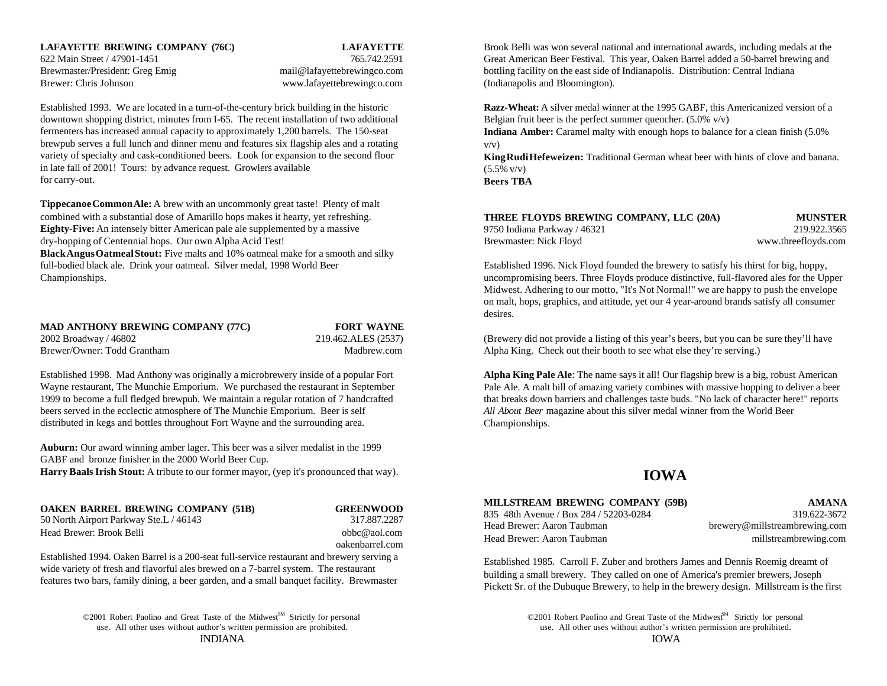# **LAFAYETTE BREWING COMPANY (76C) LAFAYETTE**

Brewer: Chris Johnson www.lafayettebrewingco.com (Indianapolis and Bloomington).

Established 1993. We are located in a turn-of-the-century brick building in the historic downtown shopping district, minutes from I-65. The recent installation of two additional fermenters has increased annual capacity to approximately 1,200 barrels. The 150-seat brewpub serves a full lunch and dinner menu and features six flagship ales and a rotating variety of specialty and cask-conditioned beers. Look for expansion to the second floor in late fall of 2001! Tours: by advance request. Growlers available for carry-out.

**Tippecanoe Common Ale:** A brew with an uncommonly great taste! Plenty of malt combined with a substantial dose of Amarillo hops makes it hearty, yet refreshing. **Eighty-Five:** An intensely bitter American pale ale supplemented by a massive dry-hopping of Centennial hops. Our own Alpha Acid Test! **Black Angus Oatmeal Stout:** Five malts and 10% oatmeal make for a smooth and silky full-bodied black ale. Drink your oatmeal. Silver medal, 1998 World Beer Established 1996. Nick Floyd founded the brewery to satisfy his thirst for big, hoppy,

| <b>MAD ANTHONY BREWING COMPANY (77C)</b> | <b>FORT WAYNE</b>   |
|------------------------------------------|---------------------|
| 2002 Broadway / 46802                    | 219.462.ALES (2537) |
| Brewer/Owner: Todd Grantham              | Madbrew.com         |

Established 1998. Mad Anthony was originally a microbrewery inside of a popular Fort Wayne restaurant, The Munchie Emporium. We purchased the restaurant in September 1999 to become a full fledged brewpub. We maintain a regular rotation of 7 handcrafted beers served in the ecclectic atmosphere of The Munchie Emporium. Beer is self distributed in kegs and bottles throughout Fort Wayne and the surrounding area.

**Auburn:** Our award winning amber lager. This beer was a silver medalist in the 1999 GABF and bronze finisher in the 2000 World Beer Cup. **Harry Baals Irish Stout:** A tribute to our former mayor, (yep it's pronounced that way).

**OAKEN BARREL BREWING COMPANY (51B) GREENWOOD**

50 North Airport Parkway Ste.L / 46143 317.887.2287 Head Brewer: Brook Belli **by a strategies and the strategies of the compact of the strategies** obbc@aol.com

oakenbarrel.com

Established 1994. Oaken Barrel is a 200-seat full-service restaurant and brewery serving a wide variety of fresh and flavorful ales brewed on a 7-barrel system. The restaurant features two bars, family dining, a beer garden, and a small banquet facility. Brewmaster

> ©2001 Robert Paolino and Great Taste of the Midwest<sup>SM</sup> Strictly for personal use. All other uses without author's written permission are prohibited. use. All other uses without author's written permission are prohibited. INDIANA IOWA

622 Main Street / 47901-1451 765.742.2591 Great American Beer Festival. This year, Oaken Barrel added a 50-barrel brewing and Brewmaster/President: Greg Emig mail@lafayettebrewingco.com bottling facility on the east side of Indianapolis. Distribution: Central Indiana Brook Belli was won several national and international awards, including medals at the

> **Razz-Wheat:** A silver medal winner at the 1995 GABF, this Americanized version of a Belgian fruit beer is the perfect summer quencher.  $(5.0\% \text{ v/v})$

**Indiana Amber:** Caramel malty with enough hops to balance for a clean finish (5.0%  $v/v$ )

**King Rudi Hefeweizen:** Traditional German wheat beer with hints of clove and banana.  $(5.5\% \text{ v/v})$ 

**Beers TBA**

| THREE FLOYDS BREWING COMPANY, LLC (20A) | <b>MUNSTER</b>      |
|-----------------------------------------|---------------------|
| 9750 Indiana Parkway / 46321            | 219.922.3565        |
| Brewmaster: Nick Floyd                  | www.threefloyds.com |

Championships. uncompromising beers. Three Floyds produce distinctive, full-flavored ales for the Upper Midwest. Adhering to our motto, "It's Not Normal!" we are happy to push the envelope on malt, hops, graphics, and attitude, yet our 4 year-around brands satisfy all consumer desires.

> ALES (2537) (Brewery did not provide a listing of this year's beers, but you can be sure they'll have Architecture: Todd Grantham Madbrew.com Alpha King. Check out their booth to see what else they're serving.)

> > **Alpha King Pale Ale**: The name says it all! Our flagship brew is a big, robust American Pale Ale. A malt bill of amazing variety combines with massive hopping to deliver a beer that breaks down barriers and challenges taste buds. "No lack of character here!" reports *All About Beer* magazine about this silver medal winner from the World Beer Championships.

# **IOWA**

### **MILLSTREAM BREWING COMPANY (59B) AMANA**

835 48th Avenue / Box 284 / 52203-0284 319.622-3672 Head Brewer: Aaron Taubman brewery@millstreambrewing.com Head Brewer: Aaron Taubman millstreambrewing.com

Established 1985. Carroll F. Zuber and brothers James and Dennis Roemig dreamt of building a small brewery. They called on one of America's premier brewers, Joseph Pickett Sr. of the Dubuque Brewery, to help in the brewery design. Millstream is the first

©2001 Robert Paolino and Great Taste of the Midwest<sup>M</sup> Strictly for personal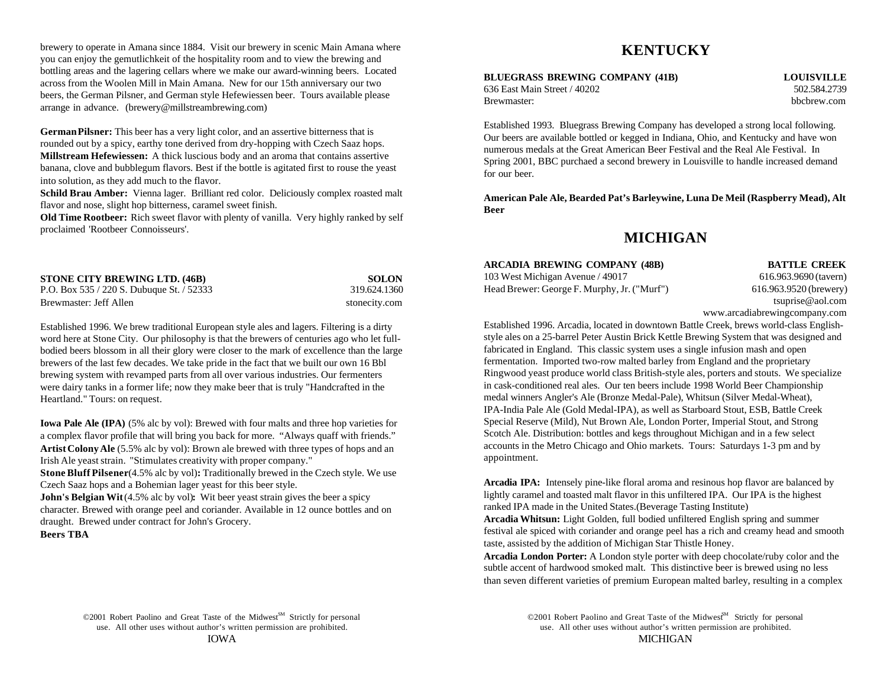brewery to operate in Amana since 1884. Visit our brewery in scenic Main Amana where you can enjoy the gemutlichkeit of the hospitality room and to view the brewing and bottling areas and the lagering cellars where we make our award-winning beers. Located across from the Woolen Mill in Main Amana. New for our 15th anniversary our two beers, the German Pilsner, and German style Hefewiessen beer. Tours available please arrange in advance. (brewery@millstreambrewing.com)

**German Pilsner:** This beer has a very light color, and an assertive bitterness that is rounded out by a spicy, earthy tone derived from dry-hopping with Czech Saaz hops. **Millstream Hefewiessen:** A thick luscious body and an aroma that contains assertive banana, clove and bubblegum flavors. Best if the bottle is agitated first to rouse the yeast into solution, as they add much to the flavor.

**Schild Brau Amber:** Vienna lager. Brilliant red color. Deliciously complex roasted malt flavor and nose, slight hop bitterness, caramel sweet finish.

**Old Time Rootbeer:** Rich sweet flavor with plenty of vanilla. Very highly ranked by self proclaimed 'Rootbeer Connoisseurs'.

| <b>STONE CITY BREWING LTD. (46B)</b>      | <b>SOLON</b>  |
|-------------------------------------------|---------------|
| P.O. Box 535 / 220 S. Dubuque St. / 52333 | 319.624.1360  |
| Brewmaster: Jeff Allen                    | stonecity.com |

Established 1996. We brew traditional European style ales and lagers. Filtering is a dirty word here at Stone City. Our philosophy is that the brewers of centuries ago who let fullbodied beers blossom in all their glory were closer to the mark of excellence than the large brewers of the last few decades. We take pride in the fact that we built our own 16 Bbl brewing system with revamped parts from all over various industries. Our fermenters were dairy tanks in a former life; now they make beer that is truly "Handcrafted in the Heartland." Tours: on request.

**Iowa Pale Ale (IPA)** (5% alc by vol): Brewed with four malts and three hop varieties for a complex flavor profile that will bring you back for more. "Always quaff with friends." **Artist Colony Ale** (5.5% alc by vol): Brown ale brewed with three types of hops and an Irish Ale yeast strain. "Stimulates creativity with proper company."

**Stone Bluff Pilsener (4.5% alc by vol): Traditionally brewed in the Czech style. We use** Czech Saaz hops and a Bohemian lager yeast for this beer style.

**John's Belgian Wit** (4.5% alc by vol): Wit beer yeast strain gives the beer a spicy character. Brewed with orange peel and coriander. Available in 12 ounce bottles and on draught. Brewed under contract for John's Grocery.

**Beers TBA**

# **KENTUCKY**

# **BLUEGRASS BREWING COMPANY (41B) LOUISVILLE**

636 East Main Street / 40202 502.584.2739 Brewmaster: bbcbrew.com bbcbrew.com bbcbrew.com bbcbrew.com bbcbrew.com bbcbrew.com bbcbrew.com bbcbrew.com bbcbrew.com bbcbrew.com bbcbrew.com bbcbrew.com bbcbrew.com bbcbrew.com bbcbrew.com bbcbrew.com bbcbrew.com bbcbre

Established 1993. Bluegrass Brewing Company has developed a strong local following. Our beers are available bottled or kegged in Indiana, Ohio, and Kentucky and have won numerous medals at the Great American Beer Festival and the Real Ale Festival. In Spring 2001, BBC purchaed a second brewery in Louisville to handle increased demand for our beer.

**American Pale Ale, Bearded Pat's Barleywine, Luna De Meil (Raspberry Mead), Alt Beer**

# **MICHIGAN**

### **ARCADIA BREWING COMPANY (48B) BATTLE CREEK**

103 West Michigan Avenue / 49017 616.963.9690 (tavern) Head Brewer: George F. Murphy, Jr. ("Murf") 616.963.9520 (brewery)

tsuprise@aol.com www.arcadiabrewingcompany.com

Established 1996. Arcadia, located in downtown Battle Creek, brews world-class Englishstyle ales on a 25-barrel Peter Austin Brick Kettle Brewing System that was designed and fabricated in England. This classic system uses a single infusion mash and open fermentation. Imported two-row malted barley from England and the proprietary Ringwood yeast produce world class British-style ales, porters and stouts. We specialize in cask-conditioned real ales. Our ten beers include 1998 World Beer Championship medal winners Angler's Ale (Bronze Medal-Pale), Whitsun (Silver Medal-Wheat), IPA-India Pale Ale (Gold Medal-IPA), as well as Starboard Stout, ESB, Battle Creek Special Reserve (Mild), Nut Brown Ale, London Porter, Imperial Stout, and Strong Scotch Ale. Distribution: bottles and kegs throughout Michigan and in a few select accounts in the Metro Chicago and Ohio markets. Tours: Saturdays 1-3 pm and by appointment.

**Arcadia IPA:** Intensely pine-like floral aroma and resinous hop flavor are balanced by lightly caramel and toasted malt flavor in this unfiltered IPA. Our IPA is the highest ranked IPA made in the United States.(Beverage Tasting Institute)

**Arcadia Whitsun:** Light Golden, full bodied unfiltered English spring and summer festival ale spiced with coriander and orange peel has a rich and creamy head and smooth taste, assisted by the addition of Michigan Star Thistle Honey.

**Arcadia London Porter:** A London style porter with deep chocolate/ruby color and the subtle accent of hardwood smoked malt. This distinctive beer is brewed using no less than seven different varieties of premium European malted barley, resulting in a complex

use. All other uses without author's written permission are prohibited. use. All other uses without author's written permission are prohibited. IOWA MICHIGAN ©2001 Robert Paolino and Great Taste of the Midwest<sup>M</sup> Strictly for personal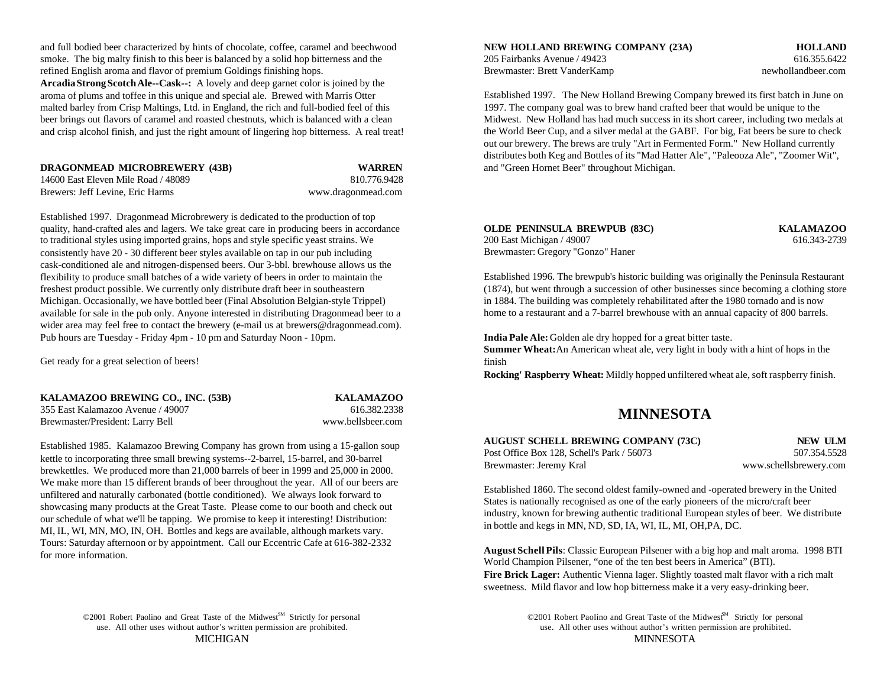and full bodied beer characterized by hints of chocolate, coffee, caramel and beechwood smoke. The big malty finish to this beer is balanced by a solid hop bitterness and the 205 Fairbanks Avenue / 49423 616.355.6422 refined English aroma and flavor of premium Goldings finishing hops. Brewmaster: Brett VanderKamp newhollandbeer.com **Arcadia Strong Scotch Ale--Cask--:** A lovely and deep garnet color is joined by the aroma of plums and toffee in this unique and special ale. Brewed with Marris Otter malted barley from Crisp Maltings, Ltd. in England, the rich and full-bodied feel of this beer brings out flavors of caramel and roasted chestnuts, which is balanced with a clean and crisp alcohol finish, and just the right amount of lingering hop bitterness. A real treat!

| <b>DRAGONMEAD MICROBREWERY (43B)</b> | <b>WARREN</b>      |
|--------------------------------------|--------------------|
| 14600 East Eleven Mile Road / 48089  | 810.776.9428       |
| Brewers: Jeff Levine, Eric Harms     | www.dragonmead.com |

Established 1997. Dragonmead Microbrewery is dedicated to the production of top quality, hand-crafted ales and lagers. We take great care in producing beers in accordance to traditional styles using imported grains, hops and style specific yeast strains. We consistently have 20 - 30 different beer styles available on tap in our pub including cask-conditioned ale and nitrogen-dispensed beers. Our 3-bbl. brewhouse allows us the flexibility to produce small batches of a wide variety of beers in order to maintain the freshest product possible. We currently only distribute draft beer in southeastern Michigan. Occasionally, we have bottled beer (Final Absolution Belgian-style Trippel) available for sale in the pub only. Anyone interested in distributing Dragonmead beer to a wider area may feel free to contact the brewery (e-mail us at brewers@dragonmead.com). Pub hours are Tuesday - Friday 4pm - 10 pm and Saturday Noon - 10pm. **India Pale Ale:** Golden ale dry hopped for a great bitter taste.

Get ready for a great selection of beers!

| KALAMAZOO BREWING CO., INC. (53B) | <b>KALAMAZOO</b>  |
|-----------------------------------|-------------------|
| 355 East Kalamazoo Avenue / 49007 | 616.382.2338      |
| Brewmaster/President: Larry Bell  | www.bellsbeer.com |

Established 1985. Kalamazoo Brewing Company has grown from using a 15-gallon soup kettle to incorporating three small brewing systems--2-barrel, 15-barrel, and 30-barrel brewkettles. We produced more than 21,000 barrels of beer in 1999 and 25,000 in 2000. We make more than 15 different brands of beer throughout the year. All of our beers are unfiltered and naturally carbonated (bottle conditioned). We always look forward to showcasing many products at the Great Taste. Please come to our booth and check out our schedule of what we'll be tapping. We promise to keep it interesting! Distribution: MI, IL, WI, MN, MO, IN, OH. Bottles and kegs are available, although markets vary. Tours: Saturday afternoon or by appointment. Call our Eccentric Cafe at 616-382-2332 for more information.

©2001 Robert Paolino and Great Taste of the Midwest<sup>SM</sup> Strictly for personal

**NEW HOLLAND BREWING COMPANY (23A) <b>HOLLAND** 

Established 1997. The New Holland Brewing Company brewed its first batch in June on 1997. The company goal was to brew hand crafted beer that would be unique to the Midwest. New Holland has had much success in its short career, including two medals at the World Beer Cup, and a silver medal at the GABF. For big, Fat beers be sure to check out our brewery. The brews are truly "Art in Fermented Form." New Holland currently distributes both Keg and Bottles of its "Mad Hatter Ale", "Paleooza Ale", "Zoomer Wit", and "Green Hornet Beer" throughout Michigan.

| <b>OLDE PENINSULA BREWPUB (83C)</b> | <b>KALAMAZOO</b> |
|-------------------------------------|------------------|
| 200 East Michigan / 49007           | 616.343-2739     |
| Brewmaster: Gregory "Gonzo" Haner   |                  |

Established 1996. The brewpub's historic building was originally the Peninsula Restaurant (1874), but went through a succession of other businesses since becoming a clothing store in 1884. The building was completely rehabilitated after the 1980 tornado and is now home to a restaurant and a 7-barrel brewhouse with an annual capacity of 800 barrels.

**Summer Wheat:** An American wheat ale, very light in body with a hint of hops in the finish

**Rocking' Raspberry Wheat:** Mildly hopped unfiltered wheat ale, soft raspberry finish.

# **MINNESOTA**

| AUGUST SCHELL BREWING COMPANY (73C)        | NEW ULM                |
|--------------------------------------------|------------------------|
| Post Office Box 128. Schell's Park / 56073 | 507.354.5528           |
| Brewmaster: Jeremy Kral                    | www.schellsbrewery.com |

Established 1860. The second oldest family-owned and -operated brewery in the United States is nationally recognised as one of the early pioneers of the micro/craft beer industry, known for brewing authentic traditional European styles of beer. We distribute in bottle and kegs in MN, ND, SD, IA, WI, IL, MI, OH,PA, DC.

**August Schell Pils**: Classic European Pilsener with a big hop and malt aroma. 1998 BTI World Champion Pilsener, "one of the ten best beers in America" (BTI). **Fire Brick Lager:** Authentic Vienna lager. Slightly toasted malt flavor with a rich malt sweetness. Mild flavor and low hop bitterness make it a very easy-drinking beer.

use. All other uses without author's written permission are prohibited. use. All other uses without author's written permission are prohibited. MICHIGAN MINNESOTA ©2001 Robert Paolino and Great Taste of the Midwest<sup>M</sup> Strictly for personal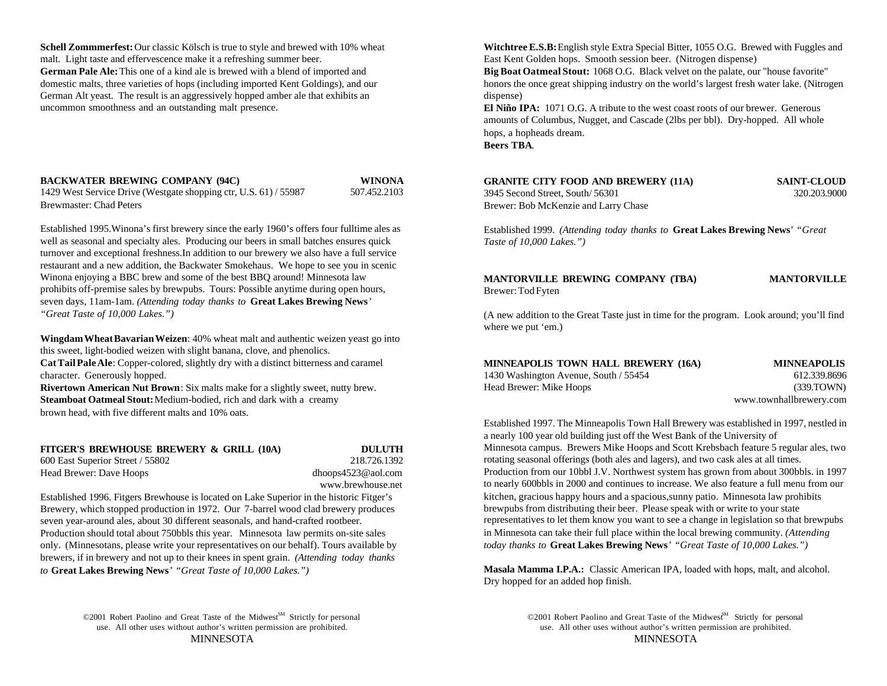malt. Light taste and effervescence make it a refreshing summer beer. East Kent Golden hops. Smooth session beer. (Nitrogen dispense) German Pale Ale: This one of a kind ale is brewed with a blend of imported and **Big Boat Oatmeal Stout:** 1068 O.G. Black velvet on the palate, our "house favorite" German Alt yeast. The result is an aggressively hopped amber ale that exhibits an dispense dispense uncommon smoothness and an outstanding malt presence.

### **BACKWATER BREWING COMPANY (94C) WINONA**

| 1429 West Service Drive (Westgate shopping ctr, U.S. 61) / 55987 | 507.452.2103 |
|------------------------------------------------------------------|--------------|
| Brewmaster: Chad Peters                                          |              |

Established 1995.Winona's first brewery since the early 1960's offers four fulltime ales as well as seasonal and specialty ales. Producing our beers in small batches ensures quick turnover and exceptional freshness.In addition to our brewery we also have a full service restaurant and a new addition, the Backwater Smokehaus. We hope to see you in scenic Winona enjoying a BBC brew and some of the best BBQ around! Minnesota law prohibits off-premise sales by brewpubs. Tours: Possible anytime during open hours, seven days, 11am-1am. *(Attending today thanks to* **Great Lakes Brewing News**' *"Great Taste of 10,000 Lakes.")*

**Wingdam Wheat Bavarian Weizen**: 40% wheat malt and authentic weizen yeast go into this sweet, light-bodied weizen with slight banana, clove, and phenolics.

**Cat Tail Pale Ale**: Copper-colored, slightly dry with a distinct bitterness and caramel character. Generously hopped.

**Rivertown American Nut Brown**: Six malts make for a slightly sweet, nutty brew. **Steamboat Oatmeal Stout:** Medium-bodied, rich and dark with a creamy brown head, with five different malts and 10% oats.

### **FITGER'S BREWHOUSE BREWERY & GRILL (10A) DULUTH** 600 East Superior Street / 55802 218.726.1392 600 East Superior Street / 55802 Head Brewer: Dave Hoops dhoops4523@aol.com

# www.brewhouse.net

Established 1996. Fitgers Brewhouse is located on Lake Superior in the historic Fitger's Brewery, which stopped production in 1972. Our 7-barrel wood clad brewery produces seven year-around ales, about 30 different seasonals, and hand-crafted rootbeer. Production should total about 750bbls this year. Minnesota law permits on-site sales only. (Minnesotans, please write your representatives on our behalf). Tours available by brewers, if in brewery and not up to their knees in spent grain. *(Attending today thanks to* **Great Lakes Brewing News**' *"Great Taste of 10,000 Lakes.")*

©2001 Robert Paolino and Great Taste of the Midwest<sup>SM</sup> Strictly for personal

**Schell Zommmerfest:** Our classic Kölsch is true to style and brewed with 10% wheat **Witchtree E.S.B:** English style Extra Special Bitter, 1055 O.G. Brewed with Fuggles and

domestic malts, three varieties of hops (including imported Kent Goldings), and our honors the once great shipping industry on the world's largest fresh water lake. (Nitrogen

**El Niño IPA:** 1071 O.G. A tribute to the west coast roots of our brewer. Generous amounts of Columbus, Nugget, and Cascade (2lbs per bbl). Dry-hopped. All whole hops, a hopheads dream. **Beers TBA**.

**GRANITE CITY FOOD AND BREWERY (11A) SAINT-CLOUD**

Brewer: Bob McKenzie and Larry Chase

3945 Second Street, South/ 56301 320.203.9000

Established 1999. *(Attending today thanks to* **Great Lakes Brewing News**' *"Great Taste of 10,000 Lakes.")*

**MANTORVILLE BREWING COMPANY (TBA) MANTORVILLE** Brewer: Tod Fyten

(A new addition to the Great Taste just in time for the program. Look around; you'll find where we put 'em.)

| MINNEAPOLIS TOWN HALL BREWERY (16A)   | <b>MINNEAPOLIS</b>      |
|---------------------------------------|-------------------------|
| 1430 Washington Avenue, South / 55454 | 612.339.8696            |
| Head Brewer: Mike Hoops               | (339.TOWN)              |
|                                       | www.townhallbrewery.com |

Established 1997. The Minneapolis Town Hall Brewery was established in 1997, nestled in a nearly 100 year old building just off the West Bank of the University of Minnesota campus. Brewers Mike Hoops and Scott Krebsbach feature 5 regular ales, two rotating seasonal offerings (both ales and lagers), and two cask ales at all times. Production from our 10bbl J.V. Northwest system has grown from about 300bbls. in 1997 to nearly 600bbls in 2000 and continues to increase. We also feature a full menu from our kitchen, gracious happy hours and a spacious,sunny patio. Minnesota law prohibits brewpubs from distributing their beer. Please speak with or write to your state representatives to let them know you want to see a change in legislation so that brewpubs in Minnesota can take their full place within the local brewing community. *(Attending today thanks to* **Great Lakes Brewing News**' *"Great Taste of 10,000 Lakes.")*

**Masala Mamma I.P.A.:** Classic American IPA, loaded with hops, malt, and alcohol. Dry hopped for an added hop finish.

use. All other uses without author's written permission are prohibited. use. All other uses without author's written permission are prohibited. MINNESOTA MINNESOTA ©2001 Robert Paolino and Great Taste of the Midwest<sup>M</sup> Strictly for personal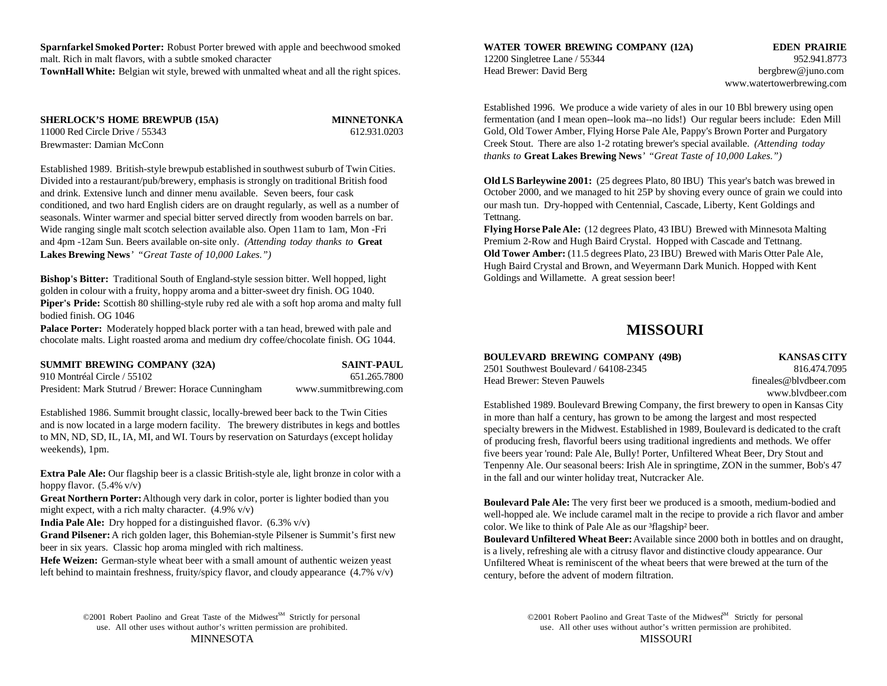**Sparnfarkel Smoked Porter:** Robust Porter brewed with apple and beechwood smoked **WATER TOWER BREWING COMPANY (12A) EDEN PRAIRIE** malt. Rich in malt flavors, with a subtle smoked character **TownHall White:** Belgian wit style, brewed with unmalted wheat and all the right spices.

**SHERLOCK'S HOME BREWPUB (15A) MINNETONKA** 11000 Red Circle Drive / 55343 612.931.0203 Brewmaster: Damian McConn

Established 1989. British-style brewpub established in southwest suburb of Twin Cities. Divided into a restaurant/pub/brewery, emphasis is strongly on traditional British food and drink. Extensive lunch and dinner menu available. Seven beers, four cask conditioned, and two hard English ciders are on draught regularly, as well as a number of seasonals. Winter warmer and special bitter served directly from wooden barrels on bar. Wide ranging single malt scotch selection available also. Open 11am to 1am, Mon -Fri **Flying Horse Pale Ale:** (12 degrees Plato, 43 IBU) Brewed with Minnesota Malting and 4pm -12am Sun. Beers available on-site only. *(Attending today thanks to* **Great**

**Lakes Brewing News**' *"Great Taste of 10,000 Lakes.")*

**Bishop's Bitter:** Traditional South of England-style session bitter. Well hopped, light golden in colour with a fruity, hoppy aroma and a bitter-sweet dry finish. OG 1040. **Piper's Pride:** Scottish 80 shilling-style ruby red ale with a soft hop aroma and malty full bodied finish. OG 1046

**Palace Porter:** Moderately hopped black porter with a tan head, brewed with pale and chocolate malts. Light roasted aroma and medium dry coffee/chocolate finish. OG 1044.

| <b>SUMMIT BREWING COMPANY (32A)</b>                 | <b>SAINT-PAUL</b>     |  |
|-----------------------------------------------------|-----------------------|--|
| 910 Montréal Circle / 55102                         | 651.265.7800          |  |
| President: Mark Stutrud / Brewer: Horace Cunningham | www.summitbrewing.com |  |

Established 1986. Summit brought classic, locally-brewed beer back to the Twin Cities and is now located in a large modern facility. The brewery distributes in kegs and bottles to MN, ND, SD, IL, IA, MI, and WI. Tours by reservation on Saturdays (except holiday weekends), 1pm.

**Extra Pale Ale:** Our flagship beer is a classic British-style ale, light bronze in color with a hoppy flavor. (5.4% v/v)

**Great Northern Porter:** Although very dark in color, porter is lighter bodied than you might expect, with a rich malty character.  $(4.9\%$  v/v)

**India Pale Ale:** Dry hopped for a distinguished flavor. (6.3% v/v)

**Grand Pilsener:** A rich golden lager, this Bohemian-style Pilsener is Summit's first new beer in six years. Classic hop aroma mingled with rich maltiness.

**Hefe Weizen:** German-style wheat beer with a small amount of authentic weizen yeast left behind to maintain freshness, fruity/spicy flavor, and cloudy appearance  $(4.7\% \text{ v/v})$ 

©2001 Robert Paolino and Great Taste of the Midwest<sup>SM</sup> Strictly for personal ©2001 Robert Paolino and Great Taste of the Midwest<sup>SM</sup> Strictly for personal

12200 Singletree Lane / 55344 952.941.8773 Head Brewer: David Berg berg bergbrew@juno.com

www.watertowerbrewing.com

Established 1996. We produce a wide variety of ales in our 10 Bbl brewery using open fermentation (and I mean open--look ma--no lids!) Our regular beers include: Eden Mill Gold, Old Tower Amber, Flying Horse Pale Ale, Pappy's Brown Porter and Purgatory Creek Stout. There are also 1-2 rotating brewer's special available. *(Attending today thanks to* **Great Lakes Brewing News**' *"Great Taste of 10,000 Lakes.")*

**Old LS Barleywine 2001:** (25 degrees Plato, 80 IBU) This year's batch was brewed in October 2000, and we managed to hit 25P by shoving every ounce of grain we could into our mash tun. Dry-hopped with Centennial, Cascade, Liberty, Kent Goldings and Tettnang.

Premium 2-Row and Hugh Baird Crystal. Hopped with Cascade and Tettnang. **Old Tower Amber:** (11.5 degrees Plato, 23 IBU) Brewed with Maris Otter Pale Ale, Hugh Baird Crystal and Brown, and Weyermann Dark Munich. Hopped with Kent Goldings and Willamette. A great session beer!

# **MISSOURI**

| <b>BOULEVARD BREWING COMPANY (49B)</b> | <b>KANSAS CITY</b>    |
|----------------------------------------|-----------------------|
| 2501 Southwest Boulevard / 64108-2345  | 816.474.7095          |
| Head Brewer: Steven Pauwels            | fineales@blydbeer.com |

www.blvdbeer.com

Established 1989. Boulevard Brewing Company, the first brewery to open in Kansas City in more than half a century, has grown to be among the largest and most respected specialty brewers in the Midwest. Established in 1989, Boulevard is dedicated to the craft of producing fresh, flavorful beers using traditional ingredients and methods. We offer five beers year 'round: Pale Ale, Bully! Porter, Unfiltered Wheat Beer, Dry Stout and Tenpenny Ale. Our seasonal beers: Irish Ale in springtime, ZON in the summer, Bob's 47 in the fall and our winter holiday treat, Nutcracker Ale.

**Boulevard Pale Ale:** The very first beer we produced is a smooth, medium-bodied and well-hopped ale. We include caramel malt in the recipe to provide a rich flavor and amber color. We like to think of Pale Ale as our <sup>3</sup>flagship<sup>2</sup> beer.

**Boulevard Unfiltered Wheat Beer:** Available since 2000 both in bottles and on draught, is a lively, refreshing ale with a citrusy flavor and distinctive cloudy appearance. Our Unfiltered Wheat is reminiscent of the wheat beers that were brewed at the turn of the century, before the advent of modern filtration.

use. All other uses without author's written permission are prohibited. use. All other uses without author's written permission are prohibited. MINNESOTA MISSOURI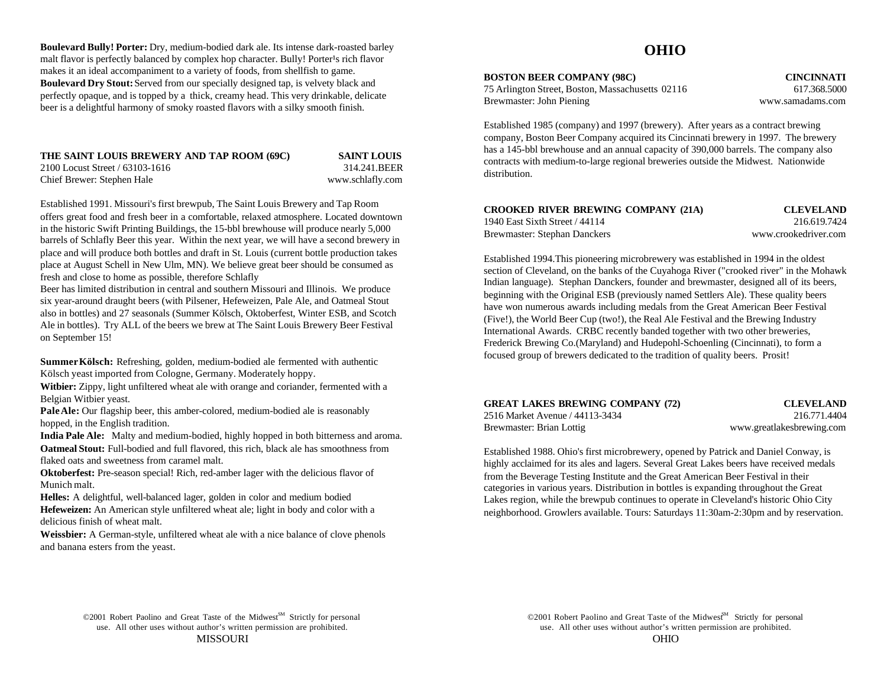**Boulevard Bully! Porter:** Dry, medium-bodied dark ale. Its intense dark-roasted barley malt flavor is perfectly balanced by complex hop character. Bully! Porter<sup>1</sup>s rich flavor makes it an ideal accompaniment to a variety of foods, from shellfish to game. **Boulevard Dry Stout:** Served from our specially designed tap, is velvety black and perfectly opaque, and is topped by a thick, creamy head. This very drinkable, delicate beer is a delightful harmony of smoky roasted flavors with a silky smooth finish.

| THE SAINT LOUIS BREWERY AND TAP ROOM (69C) | <b>SAINT LOUIS</b> |
|--------------------------------------------|--------------------|
| 2100 Locust Street / 63103-1616            | 314.241.BEER       |
| Chief Brewer: Stephen Hale                 | www.schlafly.com   |

Established 1991. Missouri's first brewpub, The Saint Louis Brewery and Tap Room offers great food and fresh beer in a comfortable, relaxed atmosphere. Located downtown in the historic Swift Printing Buildings, the 15-bbl brewhouse will produce nearly 5,000 barrels of Schlafly Beer this year. Within the next year, we will have a second brewery in place and will produce both bottles and draft in St. Louis (current bottle production takes place at August Schell in New Ulm, MN). We believe great beer should be consumed as fresh and close to home as possible, therefore Schlafly

Beer has limited distribution in central and southern Missouri and Illinois. We produce six year-around draught beers (with Pilsener, Hefeweizen, Pale Ale, and Oatmeal Stout also in bottles) and 27 seasonals (Summer Kölsch, Oktoberfest, Winter ESB, and Scotch Ale in bottles). Try ALL of the beers we brew at The Saint Louis Brewery Beer Festival on September 15!

**Summer Kölsch:** Refreshing, golden, medium-bodied ale fermented with authentic Kölsch yeast imported from Cologne, Germany. Moderately hoppy.

**Witbier:** Zippy, light unfiltered wheat ale with orange and coriander, fermented with a Belgian Witbier yeast.

**Pale Ale:** Our flagship beer, this amber-colored, medium-bodied ale is reasonably hopped, in the English tradition.

**India Pale Ale:** Malty and medium-bodied, highly hopped in both bitterness and aroma. **Oatmeal Stout:** Full-bodied and full flavored, this rich, black ale has smoothness from flaked oats and sweetness from caramel malt.

**Oktoberfest:** Pre-season special! Rich, red-amber lager with the delicious flavor of Munich malt.

**Helles:** A delightful, well-balanced lager, golden in color and medium bodied **Hefeweizen:** An American style unfiltered wheat ale; light in body and color with a delicious finish of wheat malt.

**Weissbier:** A German-style, unfiltered wheat ale with a nice balance of clove phenols and banana esters from the yeast.

# **OHIO**

**BOSTON BEER COMPANY (98C) CINCINNATI**

75 Arlington Street, Boston, Massachusetts 02116 617.368.5000 Brewmaster: John Piening www.samadams.com

Established 1985 (company) and 1997 (brewery). After years as a contract brewing company, Boston Beer Company acquired its Cincinnati brewery in 1997. The brewery has a 145-bbl brewhouse and an annual capacity of 390,000 barrels. The company also contracts with medium-to-large regional breweries outside the Midwest. Nationwide distribution.

| CROOKED RIVER BREWING COMPANY (21A) | <b>CLEVELAND</b>     |
|-------------------------------------|----------------------|
| 1940 East Sixth Street / 44114      | 216.619.7424         |
| Brewmaster: Stephan Danckers        | www.crookedriver.com |

Established 1994.This pioneering microbrewery was established in 1994 in the oldest section of Cleveland, on the banks of the Cuyahoga River ("crooked river" in the Mohawk Indian language). Stephan Danckers, founder and brewmaster, designed all of its beers, beginning with the Original ESB (previously named Settlers Ale). These quality beers have won numerous awards including medals from the Great American Beer Festival (Five!), the World Beer Cup (two!), the Real Ale Festival and the Brewing Industry International Awards. CRBC recently banded together with two other breweries, Frederick Brewing Co.(Maryland) and Hudepohl-Schoenling (Cincinnati), to form a focused group of brewers dedicated to the tradition of quality beers. Prosit!

|  |  |  | <b>GREAT LAKES BREWING COMPANY (72)</b> |  |
|--|--|--|-----------------------------------------|--|
|--|--|--|-----------------------------------------|--|

**GLEVELAND** 2516 Market Avenue / 44113-3434 216.771.4404 Brewmaster: Brian Lottig www.greatlakesbrewing.com

Established 1988. Ohio's first microbrewery, opened by Patrick and Daniel Conway, is highly acclaimed for its ales and lagers. Several Great Lakes beers have received medals from the Beverage Testing Institute and the Great American Beer Festival in their categories in various years. Distribution in bottles is expanding throughout the Great Lakes region, while the brewpub continues to operate in Cleveland's historic Ohio City neighborhood. Growlers available. Tours: Saturdays 11:30am-2:30pm and by reservation.

use. All other uses without author's written permission are prohibited. use. All other uses without author's written permission are prohibited. ©2001 Robert Paolino and Great Taste of the Midwest<sup>M</sup> Strictly for personal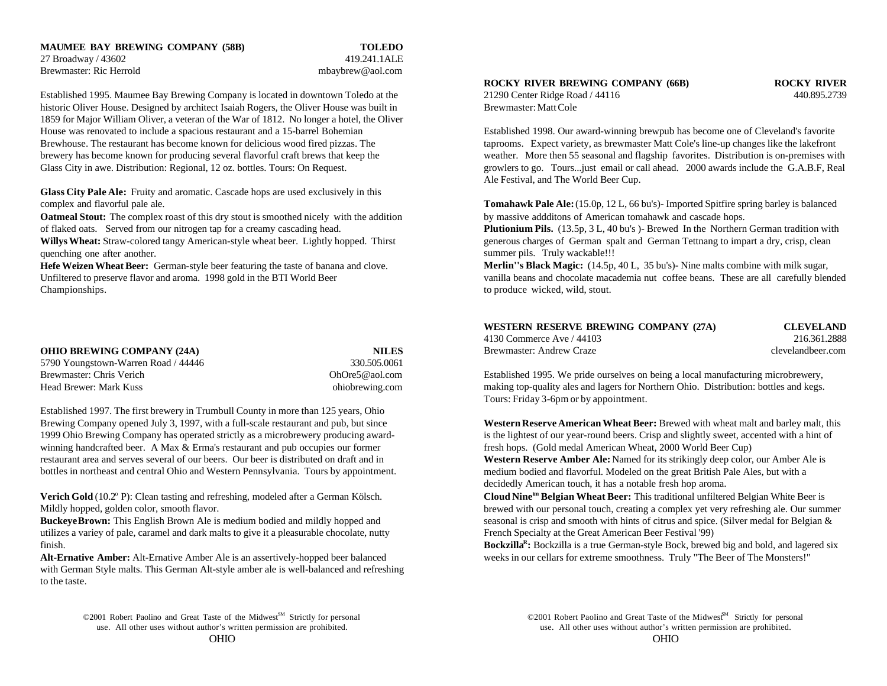### **MAUMEE BAY BREWING COMPANY (58B) TOLEDO** 27 Broadway / 43602 419.241.1ALE Brewmaster: Ric Herrold mbaybrew@aol.com

Established 1995. Maumee Bay Brewing Company is located in downtown Toledo at the 21290 Center Ridge Road / 44116 440.895.2739 historic Oliver House. Designed by architect Isaiah Rogers, the Oliver House was built in Brewmaster: Matt Cole 1859 for Major William Oliver, a veteran of the War of 1812. No longer a hotel, the Oliver House was renovated to include a spacious restaurant and a 15-barrel Bohemian Established 1998. Our award-winning brewpub has become one of Cleveland's favorite Brewhouse. The restaurant has become known for delicious wood fired pizzas. The taprooms. Expect variety, as brewmaster Matt Cole's line-up changes like the lakefront brewery has become known for producing several flavorful craft brews that keep the weather. More then 55 seasonal and flagship favorites. Distribution is on-premises with Glass City in awe. Distribution: Regional, 12 oz. bottles. Tours: On Request. The growlers to go. Tours...just email or call ahead. 2000 awards include the G.A.B.F, Real

**Glass City Pale Ale:** Fruity and aromatic. Cascade hops are used exclusively in this

**Oatmeal Stout:** The complex roast of this dry stout is smoothed nicely with the addition of flaked oats. Served from our nitrogen tap for a creamy cascading head. **Plutionium Pils.** (13.5p, 3 L, 40 bu's )- Brewed In the Northern German tradition with

**Willys Wheat:** Straw-colored tangy American-style wheat beer. Lightly hopped. Thirst quenching one after another.

**Hefe Weizen Wheat Beer:** German-style beer featuring the taste of banana and clove. Unfiltered to preserve flavor and aroma. 1998 gold in the BTI World Beer Championships.

| <b>OHIO BREWING COMPANY (24A)</b>   | <b>NILES</b>    |
|-------------------------------------|-----------------|
| 5790 Youngstown-Warren Road / 44446 | 330.505.0061    |
| Brewmaster: Chris Verich            | OhOre5@aol.com  |
| Head Brewer: Mark Kuss              | ohiobrewing.com |

Established 1997. The first brewery in Trumbull County in more than 125 years, Ohio Brewing Company opened July 3, 1997, with a full-scale restaurant and pub, but since **Western Reserve American Wheat Beer:** Brewed with wheat malt and barley malt, this 1999 Ohio Brewing Company has operated strictly as a microbrewery producing award- is the lightest of our year-round beers. Crisp and slightly sweet, accented with a hint of winning handcrafted beer. A Max & Erma's restaurant and pub occupies our former fresh hops. (Gold medal American Wheat, 2000 World Beer Cup) restaurant area and serves several of our beers. Our beer is distributed on draft and in bottles in northeast and central Ohio and Western Pennsylvania. Tours by appointment.

**Verich Gold** (10.2 $^{\circ}$  P): Clean tasting and refreshing, modeled after a German Kölsch. Mildly hopped, golden color, smooth flavor.

utilizes a variey of pale, caramel and dark malts to give it a pleasurable chocolate, nutty French Specialty at the Great American Beer Festival '99) finish.

with German Style malts. This German Alt-style amber ale is well-balanced and refreshing to the taste.

### **ROCKY RIVER BREWING COMPANY (66B) ROCKY RIVER**

Ale Festival, and The World Beer Cup.

complex and flavorful pale ale. **Tomahawk Pale Ale:** (15.0p, 12 L, 66 bu's)- Imported Spitfire spring barley is balanced by massive addditons of American tomahawk and cascade hops.

> generous charges of German spalt and German Tettnang to impart a dry, crisp, clean summer pils. Truly wackable!!!

**Merlin''s Black Magic:** (14.5p, 40 L, 35 bu's)- Nine malts combine with milk sugar, vanilla beans and chocolate macademia nut coffee beans. These are all carefully blended to produce wicked, wild, stout.

| WESTERN RESERVE BREWING COMPANY (27A) | <b>CLEVELAND</b>  |
|---------------------------------------|-------------------|
| 4130 Commerce Ave / 44103             | 216.361.2888      |
| Brewmaster: Andrew Craze              | clevelandbeer.com |

Established 1995. We pride ourselves on being a local manufacturing microbrewery, making top-quality ales and lagers for Northern Ohio. Distribution: bottles and kegs. Tours: Friday 3-6pm or by appointment.

**Western Reserve Amber Ale:** Named for its strikingly deep color, our Amber Ale is medium bodied and flavorful. Modeled on the great British Pale Ales, but with a decidedly American touch, it has a notable fresh hop aroma.

**Buckeye Brown:** This English Brown Ale is medium bodied and mildly hopped and seasonal is crisp and smooth with hints of citrus and spice. (Silver medal for Belgian & **Cloud Nine<sup>tm</sup> Belgian Wheat Beer:** This traditional unfiltered Belgian White Beer is brewed with our personal touch, creating a complex yet very refreshing ale. Our summer

**Alt-Ernative Amber:** Alt-Ernative Amber Ale is an assertively-hopped beer balanced weeks in our cellars for extreme smoothness. Truly "The Beer of The Monsters!" **Bockzilla<sup>R</sup>**: Bockzilla is a true German-style Bock, brewed big and bold, and lagered six

<sup>©2001</sup> Robert Paolino and Great Taste of the Midwest<sup>SM</sup> Strictly for personal use. All other uses without author's written permission are prohibited. use. All other uses without author's written permission are prohibited.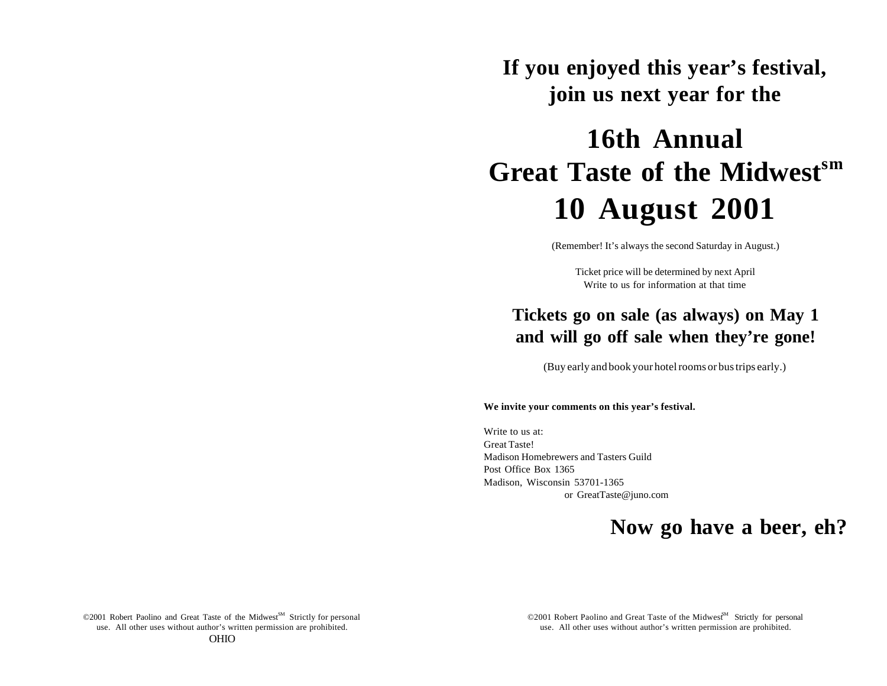**If you enjoyed this year's festival, join us next year for the**

# **16th Annual Great Taste of the Midwestsm 10 August 2001**

(Remember! It's always the second Saturday in August.)

Ticket price will be determined by next April Write to us for information at that time

# **Tickets go on sale (as always) on May 1 and will go off sale when they're gone!**

(Buy early and book your hotel rooms or bus trips early.)

### **We invite your comments on this year's festival.**

Write to us at: Great Taste! Madison Homebrewers and Tasters Guild Post Office Box 1365 Madison, Wisconsin 53701-1365 or GreatTaste@juno.com

# **Now go have a beer, eh?**

©2001 Robert Paolino and Great Taste of the Midwest<sup>SM</sup> Strictly for personal use. All other uses without author's written permission are prohibited. use. All other uses without author's written permission are prohibited. OHIO